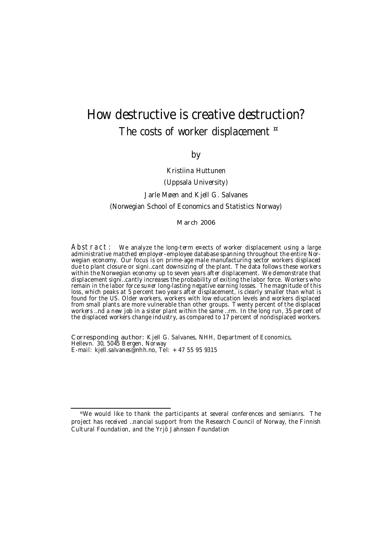# How destructive is creative destruction? The costs of worker displacement  $\overline{a}$

by

Kristiina Huttunen (Uppsala University) Jarle Møen and Kjell G. Salvanes (Norwegian School of Economics and Statistics Norway) March 2006

Abstract: We analyze the long-term e¤ects of worker displacement using a large administrative matched employer-employee database spanning throughout the entire Norwegian economy. Our focus is on prime-age male manufacturing sector workers displaced due to plant closure or signi…cant downsizing of the plant. The data follows these workers within the Norwegian economy up to seven years after displacement. We demonstrate that displacement signi…cantly increases the probability of exiting the labor force. Workers who remain in the labor force su¤er long-lasting negative earning losses. The magnitude of this loss, which peaks at 5 percent two years after displacement, is clearly smaller than what is found for the US. Older workers, workers with low education levels and workers displaced from small plants are more vulnerable than other groups. Twenty percent of the displaced workers …nd a new job in a sister plant within the same …rm. In the long run, 35 percent of the displaced workers change industry, as compared to 17 percent of nondisplaced workers.

Corresponding author: Kjell G. Salvanes, NHH, Department of Economics, Hellevn. 30, 5045 Bergen, Norway E-mail: kjell.salvanes@nhh.no, Tel: +47 55 95 9315

<sup>¤</sup>We would like to thank the participants at several conferences and semianrs. The project has received …nancial support from the Research Council of Norway, the Finnish Cultural Foundation, and the Yrjö Jahnsson Foundation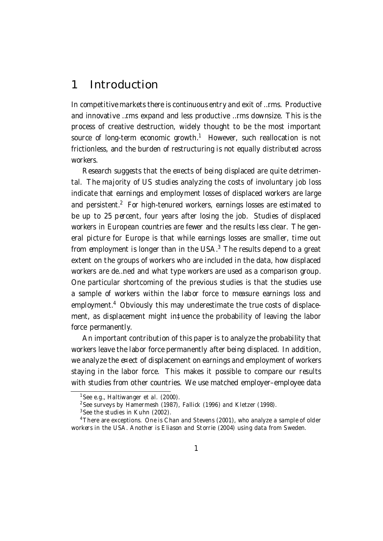## 1 Introduction

In competitive markets there is continuous entry and exit of …rms. Productive and innovative …rms expand and less productive …rms downsize. This is the process of creative destruction, widely thought to be the most important source of long-term economic growth.<sup>1</sup> However, such reallocation is not frictionless, and the burden of restructuring is not equally distributed across workers.

Research suggests that the e¤ects of being displaced are quite detrimental. The majority of US studies analyzing the costs of involuntary job loss indicate that earnings and employment losses of displaced workers are large and persistent.<sup>2</sup> For high-tenured workers, earnings losses are estimated to be up to 25 percent, four years after losing the job. Studies of displaced workers in European countries are fewer and the results less clear. The general picture for Europe is that while earnings losses are smaller, time out from employment is longer than in the USA. $^3$  The results depend to a great extent on the groups of workers who are included in the data, how displaced workers are de…ned and what type workers are used as a comparison group. One particular shortcoming of the previous studies is that the studies use a sample of workers within the labor force to measure earnings loss and employment.<sup>4</sup> Obviously this may underestimate the true costs of displacement, as displacement might in‡uence the probability of leaving the labor force permanently.

An important contribution of this paper is to analyze the probability that workers leave the labor force permanently after being displaced. In addition, we analyze the e¤ect of displacement on earnings and employment of workers staying in the labor force. This makes it possible to compare our results with studies from other countries. We use matched employer–employee data

<sup>&</sup>lt;sup>1</sup>See e.g., Haltiwanger et al.  $(2000)$ .

<sup>&</sup>lt;sup>2</sup>See surveys by Hamermesh (1987), Fallick (1996) and Kletzer (1998).

 $3$  See the studies in Kuhn (2002).

<sup>&</sup>lt;sup>4</sup> There are exceptions. One is Chan and Stevens (2001), who analyze a sample of older workers in the USA. Another is Eliason and Storrie (2004) using data from Sweden.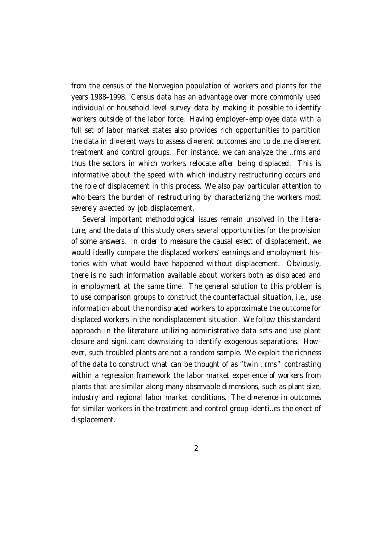from the census of the Norwegian population of workers and plants for the years 1988–1998. Census data has an advantage over more commonly used individual or household level survey data by making it possible to identify workers outside of the labor force. Having employer–employee data with a full set of labor market states also provides rich opportunities to partition the data in di¤erent ways to assess di¤erent outcomes and to de…ne di¤erent treatment and control groups. For instance, we can analyze the …rms and thus the sectors in which workers relocate after being displaced. This is informative about the speed with which industry restructuring occurs and the role of displacement in this process. We also pay particular attention to who bears the burden of restructuring by characterizing the workers most severely a¤ected by job displacement.

Several important methodological issues remain unsolved in the literature, and the data of this study o¤ers several opportunities for the provision of some answers. In order to measure the causal e¤ect of displacement, we would ideally compare the displaced workers' earnings and employment histories with what would have happened without displacement. Obviously, there is no such information available about workers both as displaced and in employment at the same time. The general solution to this problem is to use comparison groups to construct the counterfactual situation, i.e., use information about the nondisplaced workers to approximate the outcome for displaced workers in the nondisplacement situation. We follow this standard approach in the literature utilizing administrative data sets and use plant closure and signi…cant downsizing to identify exogenous separations. However, such troubled plants are not a random sample. We exploit the richness of the data to construct what can be thought of as "twin …rms" contrasting within a regression framework the labor market experience of workers from plants that are similar along many observable dimensions, such as plant size, industry and regional labor market conditions. The di¤erence in outcomes for similar workers in the treatment and control group identimes the exect of displacement.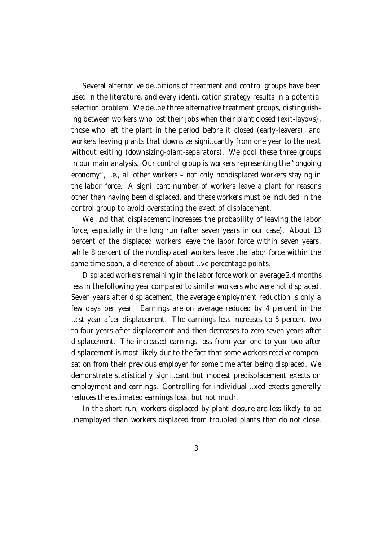Several alternative de…nitions of treatment and control groups have been used in the literature, and every identi…cation strategy results in a potential selection problem. We de…ne three alternative treatment groups, distinguishing between workers who lost their jobs when their plant closed (exit-layo¤s), those who left the plant in the period before it closed (early-leavers), and workers leaving plants that downsize signi…cantly from one year to the next without exiting (downsizing-plant-separators). We pool these three groups in our main analysis. Our control group is workers representing the "ongoing economy", i.e., all other workers – not only nondisplaced workers staying in the labor force. A signi…cant number of workers leave a plant for reasons other than having been displaced, and these workers must be included in the control group to avoid overstating the e¤ect of displacement.

We ...nd that displacement increases the probability of leaving the labor force, especially in the long run (after seven years in our case). About 13 percent of the displaced workers leave the labor force within seven years, while 8 percent of the nondisplaced workers leave the labor force within the same time span, a di¤erence of about ... ve percentage points.

Displaced workers remaining in the labor force work on average 2.4 months less in the following year compared to similar workers who were not displaced. Seven years after displacement, the average employment reduction is only a few days per year. Earnings are on average reduced by 4 percent in the …rst year after displacement. The earnings loss increases to 5 percent two to four years after displacement and then decreases to zero seven years after displacement. The increased earnings loss from year one to year two after displacement is most likely due to the fact that some workers receive compensation from their previous employer for some time after being displaced. We demonstrate statistically signi…cant but modest predisplacement e¤ects on employment and earnings. Controlling for individual …xed e¤ects generally reduces the estimated earnings loss, but not much.

In the short run, workers displaced by plant closure are less likely to be unemployed than workers displaced from troubled plants that do not close.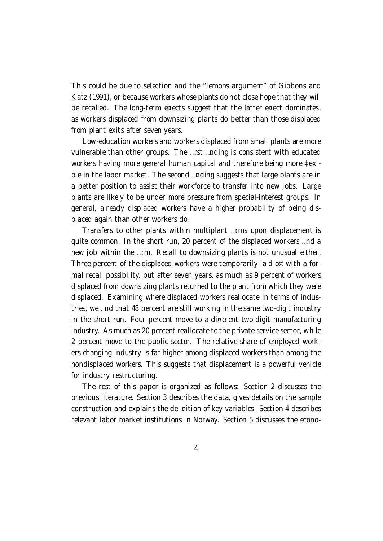This could be due to selection and the "lemons argument" of Gibbons and Katz (1991), or because workers whose plants do not close hope that they will be recalled. The long-term e¤ects suggest that the latter e¤ect dominates, as workers displaced from downsizing plants do better than those displaced from plant exits after seven years.

Low-education workers and workers displaced from small plants are more vulnerable than other groups. The …rst …nding is consistent with educated workers having more general human capital and therefore being more ‡exible in the labor market. The second …nding suggests that large plants are in a better position to assist their workforce to transfer into new jobs. Large plants are likely to be under more pressure from special-interest groups. In general, already displaced workers have a higher probability of being displaced again than other workers do.

Transfers to other plants within multiplant …rms upon displacement is quite common. In the short run, 20 percent of the displaced workers …nd a new job within the …rm. Recall to downsizing plants is not unusual either. Three percent of the displaced workers were temporarily laid o¤ with a formal recall possibility, but after seven years, as much as 9 percent of workers displaced from downsizing plants returned to the plant from which they were displaced. Examining where displaced workers reallocate in terms of industries, we …nd that 48 percent are still working in the same two-digit industry in the short run. Four percent move to a di¤erent two-digit manufacturing industry. As much as 20 percent reallocate to the private service sector, while 2 percent move to the public sector. The relative share of employed workers changing industry is far higher among displaced workers than among the nondisplaced workers. This suggests that displacement is a powerful vehicle for industry restructuring.

The rest of this paper is organized as follows: Section 2 discusses the previous literature. Section 3 describes the data, gives details on the sample construction and explains the de…nition of key variables. Section 4 describes relevant labor market institutions in Norway. Section 5 discusses the econo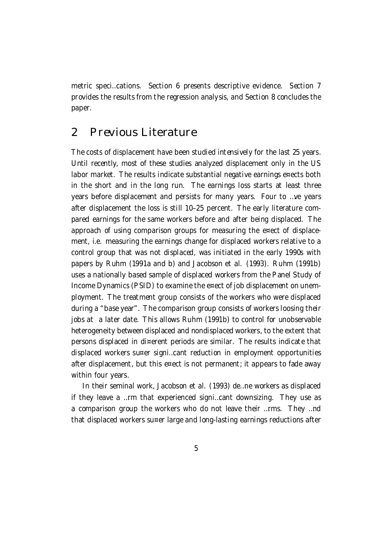metric speci…cations. Section 6 presents descriptive evidence. Section 7 provides the results from the regression analysis, and Section 8 concludes the paper.

## 2 Previous Literature

The costs of displacement have been studied intensively for the last 25 years. Until recently, most of these studies analyzed displacement only in the US labor market. The results indicate substantial negative earnings e¤ects both in the short and in the long run. The earnings loss starts at least three years before displacement and persists for many years. Four to …ve years after displacement the loss is still 10–25 percent. The early literature compared earnings for the same workers before and after being displaced. The approach of using comparison groups for measuring the e¤ect of displacement, i.e. measuring the earnings change for displaced workers relative to a control group that was not displaced, was initiated in the early 1990s with papers by Ruhm (1991a and b) and Jacobson et al. (1993). Ruhm (1991b) uses a nationally based sample of displaced workers from the Panel Study of Income Dynamics (PSID) to examine the e¤ect of job displacement on unemployment. The treatment group consists of the workers who were displaced during a "base year". The comparison group consists of workers loosing their jobs at a later date. This allows Ruhm (1991b) to control for unobservable heterogeneity between displaced and nondisplaced workers, to the extent that persons displaced in di¤erent periods are similar. The results indicate that displaced workers su¤er signi…cant reduction in employment opportunities after displacement, but this e¤ect is not permanent; it appears to fade away within four years.

In their seminal work, Jacobson et al. (1993) de…ne workers as displaced if they leave a …rm that experienced signi…cant downsizing. They use as a comparison group the workers who do not leave their …rms. They …nd that displaced workers su¤er large and long-lasting earnings reductions after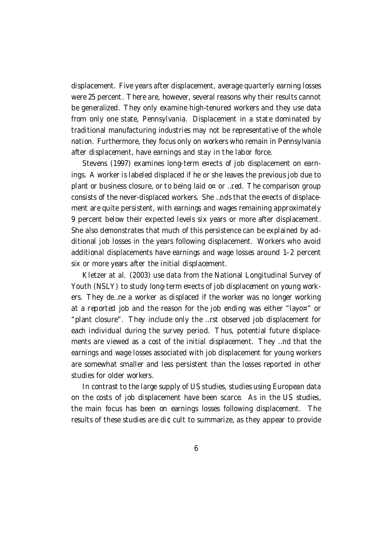displacement. Five years after displacement, average quarterly earning losses were 25 percent. There are, however, several reasons why their results cannot be generalized. They only examine high-tenured workers and they use data from only one state, Pennsylvania. Displacement in a state dominated by traditional manufacturing industries may not be representative of the whole nation. Furthermore, they focus only on workers who remain in Pennsylvania after displacement, have earnings and stay in the labor force.

Stevens (1997) examines long-term e¤ects of job displacement on earnings. A worker is labeled displaced if he or she leaves the previous job due to plant or business closure, or to being laid o¤ or …red. The comparison group consists of the never-displaced workers. She …nds that the e¤ects of displacement are quite persistent, with earnings and wages remaining approximately 9 percent below their expected levels six years or more after displacement. She also demonstrates that much of this persistence can be explained by additional job losses in the years following displacement. Workers who avoid additional displacements have earnings and wage losses around 1–2 percent six or more years after the initial displacement.

Kletzer at al. (2003) use data from the National Longitudinal Survey of Youth (NSLY) to study long-term e¤ects of job displacement on young workers. They de…ne a worker as displaced if the worker was no longer working at a reported job and the reason for the job ending was either "layo¤" or "plant closure". They include only the …rst observed job displacement for each individual during the survey period. Thus, potential future displacements are viewed as a cost of the initial displacement. They …nd that the earnings and wage losses associated with job displacement for young workers are somewhat smaller and less persistent than the losses reported in other studies for older workers.

In contrast to the large supply of US studies, studies using European data on the costs of job displacement have been scarce. As in the US studies, the main focus has been on earnings losses following displacement. The results of these studies are di¢cult to summarize, as they appear to provide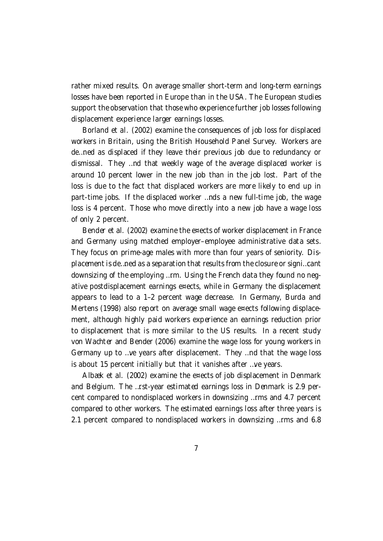rather mixed results. On average smaller short-term and long-term earnings losses have been reported in Europe than in the USA. The European studies support the observation that those who experience further job losses following displacement experience larger earnings losses.

Borland et al. (2002) examine the consequences of job loss for displaced workers in Britain, using the British Household Panel Survey. Workers are de…ned as displaced if they leave their previous job due to redundancy or dismissal. They …nd that weekly wage of the average displaced worker is around 10 percent lower in the new job than in the job lost. Part of the loss is due to the fact that displaced workers are more likely to end up in part-time jobs. If the displaced worker …nds a new full-time job, the wage loss is 4 percent. Those who move directly into a new job have a wage loss of only 2 percent.

Bender et al. (2002) examine the e¤ects of worker displacement in France and Germany using matched employer–employee administrative data sets. They focus on prime-age males with more than four years of seniority. Displacement is de…ned as a separation that results from the closure or signi…cant downsizing of the employing …rm. Using the French data they found no negative postdisplacement earnings e¤ects, while in Germany the displacement appears to lead to a 1–2 percent wage decrease. In Germany, Burda and Mertens (1998) also report on average small wage e¤ects following displacement, although highly paid workers experience an earnings reduction prior to displacement that is more similar to the US results. In a recent study von Wachter and Bender (2006) examine the wage loss for young workers in Germany up to …ve years after displacement. They …nd that the wage loss is about 15 percent initially but that it vanishes after …ve years.

Albæk et al. (2002) examine the e¤ects of job displacement in Denmark and Belgium. The …rst-year estimated earnings loss in Denmark is 2.9 percent compared to nondisplaced workers in downsizing …rms and 4.7 percent compared to other workers. The estimated earnings loss after three years is 2.1 percent compared to nondisplaced workers in downsizing …rms and 6.8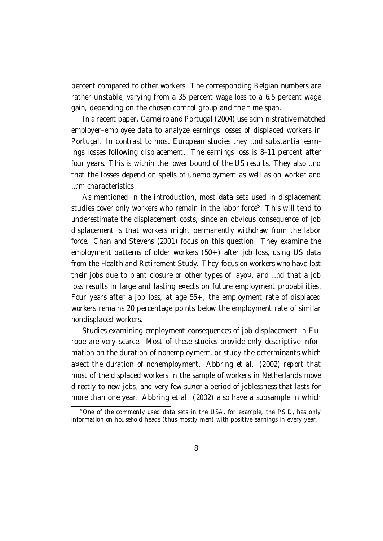percent compared to other workers. The corresponding Belgian numbers are rather unstable, varying from a 35 percent wage loss to a 6.5 percent wage gain, depending on the chosen control group and the time span.

In a recent paper, Carneiro and Portugal (2004) use administrative matched employer–employee data to analyze earnings losses of displaced workers in Portugal. In contrast to most European studies they …nd substantial earnings losses following displacement. The earnings loss is 8–11 percent after four years. This is within the lower bound of the US results. They also …nd that the losses depend on spells of unemployment as well as on worker and …rm characteristics.

As mentioned in the introduction, most data sets used in displacement studies cover only workers who remain in the labor force<sup>5</sup>. This will tend to underestimate the displacement costs, since an obvious consequence of job displacement is that workers might permanently withdraw from the labor force. Chan and Stevens (2001) focus on this question. They examine the employment patterns of older workers (50+) after job loss, using US data from the Health and Retirement Study. They focus on workers who have lost their jobs due to plant closure or other types of layo¤, and …nd that a job loss results in large and lasting e¤ects on future employment probabilities. Four years after a job loss, at age 55+, the employment rate of displaced workers remains 20 percentage points below the employment rate of similar nondisplaced workers.

Studies examining employment consequences of job displacement in Europe are very scarce. Most of these studies provide only descriptive information on the duration of nonemployment, or study the determinants which a¤ect the duration of nonemployment. Abbring et al. (2002) report that most of the displaced workers in the sample of workers in Netherlands move directly to new jobs, and very few su¤er a period of joblessness that lasts for more than one year. Abbring et al. (2002) also have a subsample in which

<sup>5</sup>One of the commonly used data sets in the USA, for example, the PSID, has only information on household heads (thus mostly men) with positive earnings in every year.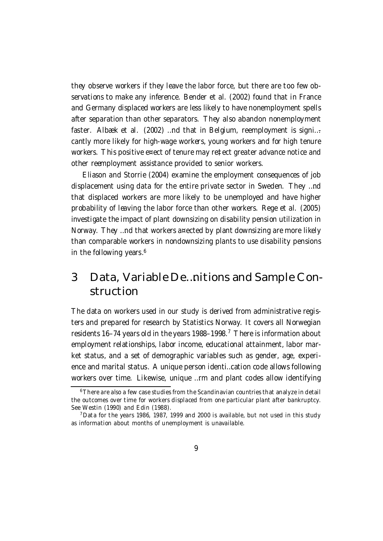they observe workers if they leave the labor force, but there are too few observations to make any inference. Bender et al. (2002) found that in France and Germany displaced workers are less likely to have nonemployment spells after separation than other separators. They also abandon nonemployment faster. Albæk et al. (2002) …nd that in Belgium, reemployment is signi… cantly more likely for high-wage workers, young workers and for high tenure workers. This positive e¤ect of tenure may re‡ect greater advance notice and other reemployment assistance provided to senior workers.

Eliason and Storrie (2004) examine the employment consequences of job displacement using data for the entire private sector in Sweden. They …nd that displaced workers are more likely to be unemployed and have higher probability of leaving the labor force than other workers. Rege et al. (2005) investigate the impact of plant downsizing on disability pension utilization in Norway. They …nd that workers a¤ected by plant downsizing are more likely than comparable workers in nondownsizing plants to use disability pensions in the following years. 6

## 3 Data, Variable De…nitions and Sample Construction

The data on workers used in our study is derived from administrative registers and prepared for research by Statistics Norway. It covers all Norwegian residents 16–74 years old in the years 1988–1998.<sup>7</sup> There is information about employment relationships, labor income, educational attainment, labor market status, and a set of demographic variables such as gender, age, experience and marital status. A unique person identi…cation code allows following workers over time. Likewise, unique …rm and plant codes allow identifying

<sup>6</sup>There are also a few case studies from the Scandinavian countries that analyze in detail the outcomes over time for workers displaced from one particular plant after bankruptcy. See Westin (1990) and Edin (1988).

 $^7$ Data for the years 1986, 1987, 1999 and 2000 is available, but not used in this study as information about months of unemployment is unavailable.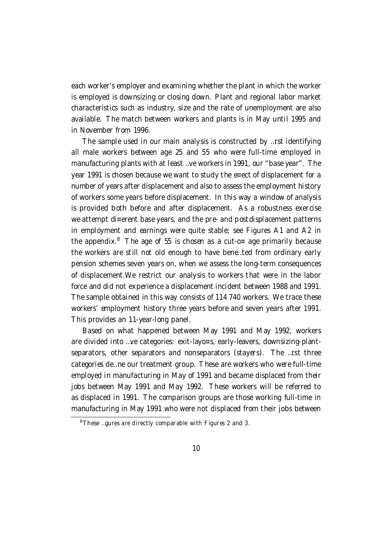each worker's employer and examining whether the plant in which the worker is employed is downsizing or closing down. Plant and regional labor market characteristics such as industry, size and the rate of unemployment are also available. The match between workers and plants is in May until 1995 and in November from 1996.

The sample used in our main analysis is constructed by …rst identifying all male workers between age 25 and 55 who were full-time employed in manufacturing plants with at least …ve workers in 1991, our "base year". The year 1991 is chosen because we want to study the e¤ect of displacement for a number of years after displacement and also to assess the employment history of workers some years before displacement. In this way a window of analysis is provided both before and after displacement. As a robustness exercise we attempt di¤erent base years, and the pre- and postdisplacement patterns in employment and earnings were quite stable; see Figures A1 and A2 in the appendix. $8$  The age of 55 is chosen as a cut-o¤ age primarily because the workers are still not old enough to have bene…ted from ordinary early pension schemes seven years on, when we assess the long-term consequences of displacement.We restrict our analysis to workers that were in the labor force and did not experience a displacement incident between 1988 and 1991. The sample obtained in this way consists of 114 740 workers. We trace these workers' employment history three years before and seven years after 1991. This provides an 11-year-long panel.

Based on what happened between May 1991 and May 1992, workers are divided into …ve categories: exit-layo¤s, early-leavers, downsizing-plantseparators, other separators and nonseparators (stayers). The …rst three categories de…ne our treatment group. These are workers who were full-time employed in manufacturing in May of 1991 and became displaced from their jobs between May 1991 and May 1992. These workers will be referred to as displaced in 1991. The comparison groups are those working full-time in manufacturing in May 1991 who were not displaced from their jobs between

 $8$ These ... gures are directly comparable with Figures 2 and 3.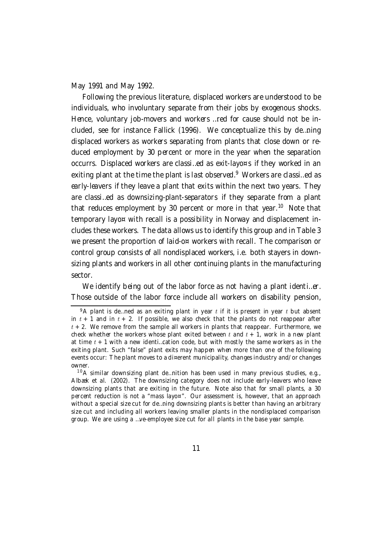May 1991 and May 1992.

Following the previous literature, displaced workers are understood to be individuals, who involuntary separate from their jobs by exogenous shocks. Hence, voluntary job-movers and workers …red for cause should not be included, see for instance Fallick (1996). We conceptualize this by de…ning displaced workers as workers separating from plants that close down or reduced employment by 30 percent or more in the year when the separation occurrs. Displaced workers are classi…ed as exit-layo¤s if they worked in an exiting plant at the time the plant is last observed.<sup>9</sup> Workers are classi…ed as early-leavers if they leave a plant that exits within the next two years. They are classi…ed as downsizing-plant-separators if they separate from a plant that reduces employment by 30 percent or more in that year.<sup>10</sup> Note that temporary layo¤ with recall is a possibility in Norway and displacement includes these workers. The data allows us to identify this group and in Table 3 we present the proportion of laid-o¤ workers with recall. The comparison or control group consists of all nondisplaced workers, i.e. both stayers in downsizing plants and workers in all other continuing plants in the manufacturing sector.

We identify being out of the labor force as not having a plant identimer. Those outside of the labor force include all workers on disability pension,

 $10A$  similar downsizing plant de... nition has been used in many previous studies, e.g., Albæk et al. (2002). The downsizing category does not include early-leavers who leave downsizing plants that are exiting in the future. Note also that for small plants, a 30 percent reduction is not a "mass layo¤". Our assessment is, however, that an approach without a special size cut for de…ning downsizing plants is better than having an arbitrary size cut and including all workers leaving smaller plants in the nondisplaced comparison group. We are using a …ve-employee size cut for all plants in the base year sample.

 $9A$  plant is de... ned as an exiting plant in year t if it is present in year t but absent in  $t + 1$  and in  $t + 2$ . If possible, we also check that the plants do not reappear after  $t + 2$ . We remove from the sample all workers in plants that reappear. Furthermore, we check whether the workers whose plant exited between t and  $t + 1$ , work in a new plant at time  $t + 1$  with a new identi...cation code, but with mostly the same workers as in the exiting plant. Such "false" plant exits may happen when more than one of the following events occur: The plant moves to a di¤erent municipality, changes industry and/or changes owner.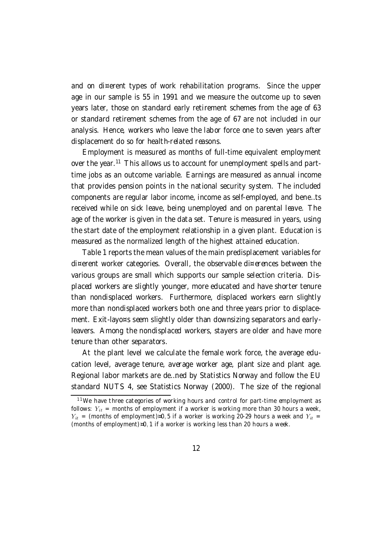and on di¤erent types of work rehabilitation programs. Since the upper age in our sample is 55 in 1991 and we measure the outcome up to seven years later, those on standard early retirement schemes from the age of 63 or standard retirement schemes from the age of 67 are not included in our analysis. Hence, workers who leave the labor force one to seven years after displacement do so for health-related reasons.

Employment is measured as months of full-time equivalent employment over the year.<sup>11</sup> This allows us to account for unemployment spells and parttime jobs as an outcome variable. Earnings are measured as annual income that provides pension points in the national security system. The included components are regular labor income, income as self-employed, and bene…ts received while on sick leave, being unemployed and on parental leave. The age of the worker is given in the data set. Tenure is measured in years, using the start date of the employment relationship in a given plant. Education is measured as the normalized length of the highest attained education.

Table 1 reports the mean values of the main predisplacement variables for di¤erent worker categories. Overall, the observable di¤erences between the various groups are small which supports our sample selection criteria. Displaced workers are slightly younger, more educated and have shorter tenure than nondisplaced workers. Furthermore, displaced workers earn slightly more than nondisplaced workers both one and three years prior to displacement. Exit-layo¤s seem slightly older than downsizing separators and earlyleavers. Among the nondisplaced workers, stayers are older and have more tenure than other separators.

At the plant level we calculate the female work force, the average education level, average tenure, average worker age, plant size and plant age. Regional labor markets are de…ned by Statistics Norway and follow the EU standard NUTS 4, see Statistics Norway (2000). The size of the regional

 $11$ We have three categories of working hours and control for part-time employment as follows:  $Y_{it}$  = months of employment if a worker is working more than 30 hours a week,  $Y_{it}$  = (months of employment)¤0,5 if a worker is working 20-29 hours a week and  $Y_{it}$  = (months of employment)¤0, 1 if a worker is working less than 20 hours a week.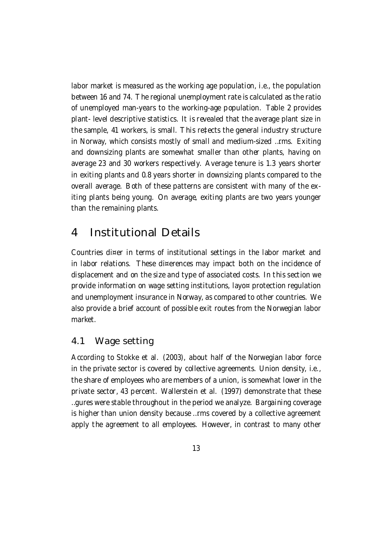labor market is measured as the working age population, i.e., the population between 16 and 74. The regional unemploymentrate is calculated as the ratio of unemployed man-years to the working-age population. Table 2 provides plant- level descriptive statistics. It is revealed that the average plant size in the sample, 41 workers, is small. This re‡ects the general industry structure in Norway, which consists mostly of small and medium-sized …rms. Exiting and downsizing plants are somewhat smaller than other plants, having on average 23 and 30 workers respectively. Average tenure is 1.3 years shorter in exiting plants and 0.8 years shorter in downsizing plants compared to the overall average. Both of these patterns are consistent with many of the exiting plants being young. On average, exiting plants are two years younger than the remaining plants.

## 4 Institutional Details

Countries di¤er in terms of institutional settings in the labor market and in labor relations. These di¤erences may impact both on the incidence of displacement and on the size and type of associated costs. In this section we provide information on wage setting institutions, layo¤ protection regulation and unemployment insurance in Norway, as compared to other countries. We also provide a brief account of possible exit routes from the Norwegian labor market.

### 4.1 Wage setting

According to Stokke et al. (2003), about half of the Norwegian labor force in the private sector is covered by collective agreements. Union density, i.e., the share of employees who are members of a union, is somewhat lower in the private sector, 43 percent. Wallerstein et al. (1997) demonstrate that these …gures were stable throughout in the period we analyze. Bargaining coverage is higher than union density because …rms covered by a collective agreement apply the agreement to all employees. However, in contrast to many other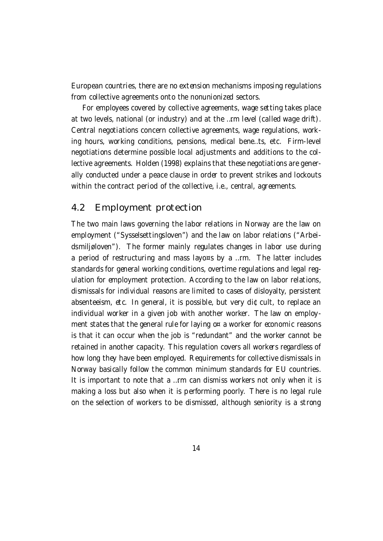European countries, there are no extension mechanisms imposing regulations from collective agreements onto the nonunionized sectors.

For employees covered by collective agreements, wage setting takes place at two levels, national (or industry) and at the …rm level (called wage drift). Central negotiations concern collective agreements, wage regulations, working hours, working conditions, pensions, medical bene…ts, etc. Firm-level negotiations determine possible local adjustments and additions to the collective agreements. Holden (1998) explains that these negotiations are generally conducted under a peace clause in order to prevent strikes and lockouts within the contract period of the collective, *i.e.*, central, agreements.

#### 4.2 Employment protection

The two main laws governing the labor relations in Norway are the law on employment ("Sysselsettingsloven") and the law on labor relations ("Arbeidsmiljøloven"). The former mainly regulates changes in labor use during a period of restructuring and mass layo¤s by a …rm. The latter includes standards for general working conditions, overtime regulations and legal regulation for employment protection. According to the law on labor relations, dismissals for individual reasons are limited to cases of disloyalty, persistent absenteeism, etc. In general, it is possible, but very di¢cult, to replace an individual worker in a given job with another worker. The law on employment states that the general rule for laying  $o<sup>\alpha</sup>$  a worker for economic reasons is that it can occur when the job is "redundant" and the worker cannot be retained in another capacity. This regulation covers all workers regardless of how long they have been employed. Requirements for collective dismissals in Norway basically follow the common minimum standards for EU countries. It is important to note that a …rm can dismiss workers not only when it is making a loss but also when it is performing poorly. There is no legal rule on the selection of workers to be dismissed, although seniority is a strong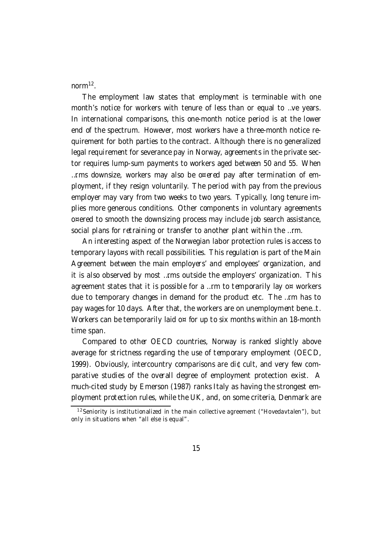norm<sup>12</sup>.

The employment law states that employment is terminable with one month's notice for workers with tenure of less than or equal to …ve years. In international comparisons, this one-month notice period is at the lower end of the spectrum. However, most workers have a three-month notice requirement for both parties to the contract. Although there is no generalized legal requirement for severance pay in Norway, agreements in the private sector requires lump-sum payments to workers aged between 50 and 55. When …rms downsize, workers may also be o¤ered pay after termination of employment, if they resign voluntarily. The period with pay from the previous employer may vary from two weeks to two years. Typically, long tenure implies more generous conditions. Other components in voluntary agreements o¤ered to smooth the downsizing process may include job search assistance, social plans for retraining or transfer to another plant within the …rm.

An interesting aspect of the Norwegian labor protection rules is access to temporary layo¤s with recall possibilities. This regulation is part of the Main Agreement between the main employers' and employees' organization, and it is also observed by most …rms outside the employers' organization. This agreement states that it is possible for a ... rm to temporarily lay  $o<sup>π</sup>$  workers due to temporary changes in demand for the product etc. The …rm has to pay wages for 10 days. After that, the workers are on unemployment bene…t. Workers can be temporarily laid  $o^{\alpha}$  for up to six months within an 18-month time span.

Compared to other OECD countries, Norway is ranked slightly above average for strictness regarding the use of temporary employment (OECD, 1999). Obviously, intercountry comparisons are di¢cult, and very few comparative studies of the overall degree of employment protection exist. A much-cited study by Emerson (1987) ranks Italy as having the strongest employment protection rules, while the UK, and, on some criteria, Denmark are

<sup>&</sup>lt;sup>12</sup> Seniority is institutionalized in the main collective agreement ("Hovedavtalen"), but only in situations when "all else is equal".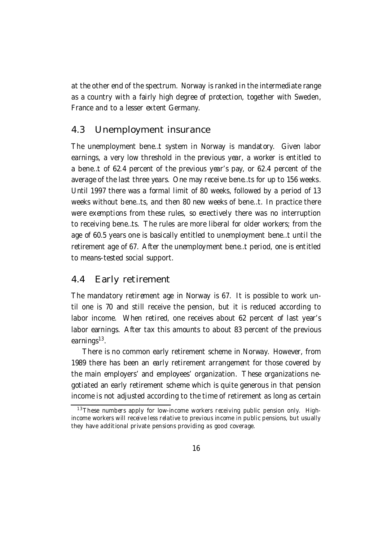at the other end of the spectrum. Norway is ranked in the intermediate range as a country with a fairly high degree of protection, together with Sweden, France and to a lesser extent Germany.

### 4.3 Unemployment insurance

The unemployment bene…t system in Norway is mandatory. Given labor earnings, a very low threshold in the previous year, a worker is entitled to a bene…t of 62.4 percent of the previous year's pay, or 62.4 percent of the average of the last three years. One may receive bene…ts for up to 156 weeks. Until 1997 there was a formal limit of 80 weeks, followed by a period of 13 weeks without bene…ts, and then 80 new weeks of bene…t. In practice there were exemptions from these rules, so e¤ectively there was no interruption to receiving bene…ts. The rules are more liberal for older workers; from the age of 60.5 years one is basically entitled to unemployment bene…t until the retirement age of 67. After the unemployment bene…t period, one is entitled to means-tested social support.

#### 4.4 Early retirement

The mandatory retirement age in Norway is 67. It is possible to work until one is 70 and still receive the pension, but it is reduced according to labor income. When retired, one receives about 62 percent of last year's labor earnings. After tax this amounts to about 83 percent of the previous earnings<sup>13</sup>.

There is no common early retirement scheme in Norway. However, from 1989 there has been an early retirement arrangement for those covered by the main employers' and employees' organization. These organizations negotiated an early retirement scheme which is quite generous in that pension income is not adjusted according to the time of retirement as long as certain

 $13$ These numbers apply for low-income workers receiving public pension only. Highincome workers will receive less relative to previous income in public pensions, but usually they have additional private pensions providing as good coverage.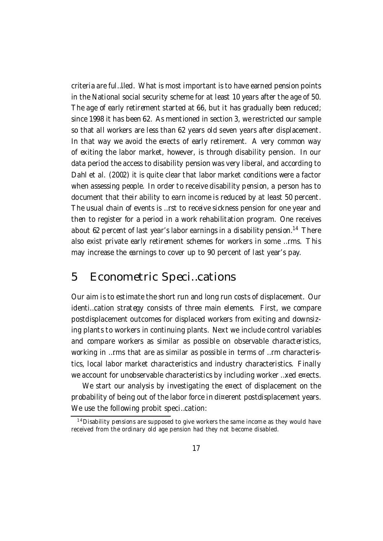criteria are ful…lled. What is most important is to have earned pension points in the National social security scheme for at least 10 years after the age of 50. The age of early retirement started at 66, but it has gradually been reduced; since 1998 it has been 62. As mentioned in section 3, we restricted our sample so that all workers are less than 62 years old seven years after displacement. In that way we avoid the e¤ects of early retirement. A very common way of exiting the labor market, however, is through disability pension. In our data period the access to disability pension was very liberal, and according to Dahl et al. (2002) it is quite clear that labor market conditions were a factor when assessing people. In order to receive disability pension, a person has to document that their ability to earn income is reduced by at least 50 percent. The usual chain of events is …rst to receive sickness pension for one year and then to register for a period in a work rehabilitation program. One receives about 62 percent of last year's labor earnings in a disability pension.<sup>14</sup> There also exist private early retirement schemes for workers in some …rms. This may increase the earnings to cover up to 90 percent of last year's pay.

### 5 Econometric Speci…cations

Our aim is to estimate the short run and long run costs of displacement. Our identi…cation strategy consists of three main elements. First, we compare postdisplacement outcomes for displaced workers from exiting and downsizing plants to workers in continuing plants. Next we include control variables and compare workers as similar as possible on observable characteristics, working in …rms that are as similar as possible in terms of …rm characteristics, local labor market characteristics and industry characteristics. Finally we account for unobservable characteristics by including worker ... xed e¤ects.

We start our analysis by investigating the e¤ect of displacement on the probability of being out of the labor force in di¤erent postdisplacement years. We use the following probit speci…cation:

 $14$  Disability pensions are supposed to give workers the same income as they would have received from the ordinary old age pension had they not become disabled.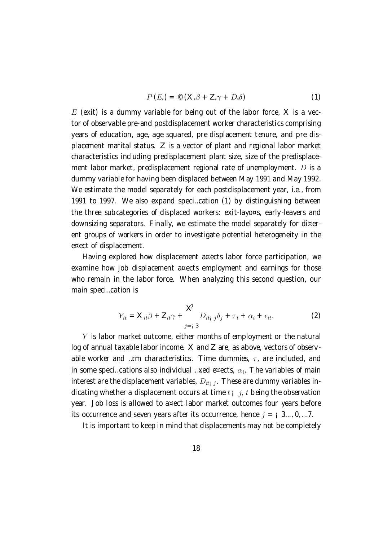$$
P(E_i) = \mathcal{O}\left(X_i\beta + Z_i\gamma + D_i\delta\right) \tag{1}
$$

 $E$  (exit) is a dummy variable for being out of the labor force,  $X$  is a vector of observable pre-and postdisplacement worker characteristics comprising years of education, age, age squared, pre displacement tenure, and pre displacement marital status. Z is a vector of plant and regional labor market characteristics including predisplacement plant size, size of the predisplacement labor market, predisplacement regional rate of unemployment.  $D$  is a dummy variable for having been displaced between May 1991 and May 1992. We estimate the model separately for each postdisplacement year, i.e., from 1991 to 1997. We also expand speci…cation (1) by distinguishing between the three subcategories of displaced workers: exit-layo¤s, early-leavers and downsizing separators. Finally, we estimate the model separately for di¤erent groups of workers in order to investigate potential heterogeneity in the e¤ect of displacement.

Having explored how displacement a¤ects labor force participation, we examine how job displacement a¤ects employment and earnings for those who remain in the labor force. When analyzing this second question, our main speci…cation is

$$
Y_{it} = \mathbf{X}_{it}\boldsymbol{\beta} + \mathbf{Z}_{it}\boldsymbol{\gamma} + \sum_{j=i}^{K} D_{itj} \boldsymbol{\delta}_{j} + \boldsymbol{\tau}_{t} + \alpha_{i} + \epsilon_{it}.
$$
 (2)

 $Y$  is labor market outcome, either months of employment or the natural log of annual taxable labor income. X and Z are, as above, vectors of observable worker and …rm characteristics. Time dummies,  $\tau$ , are included, and in some speci...cations also individual ...xed e¤ects,  $\alpha_i$ . The variables of main interest are the displacement variables,  $D_{it}$  . These are dummy variables indicating whether a displacement occurs at time  $t_{\parallel}$  j, t being the observation year. Job loss is allowed to a¤ect labor market outcomes four years before its occurrence and seven years after its occurrence, hence  $j = i, 3...$ , 0, ...7.

It is important to keep in mind that displacements may not be completely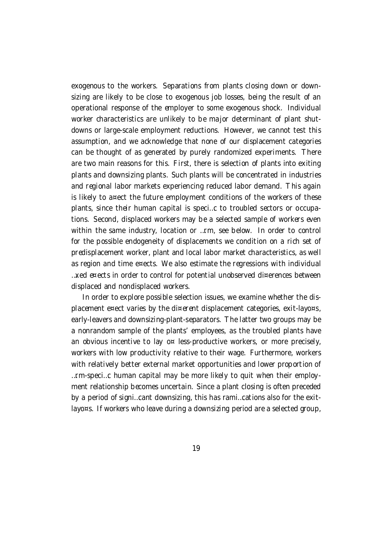exogenous to the workers. Separations from plants closing down or downsizing are likely to be close to exogenous job losses, being the result of an operational response of the employer to some exogenous shock. Individual worker characteristics are unlikely to be major determinant of plant shutdowns or large-scale employment reductions. However, we cannot test this assumption, and we acknowledge that none of our displacement categories can be thought of as generated by purely randomized experiments. There are two main reasons for this. First, there is selection of plants into exiting plants and downsizing plants. Such plants will be concentrated in industries and regional labor markets experiencing reduced labor demand. This again is likely to a¤ect the future employment conditions of the workers of these plants, since their human capital is speci…c to troubled sectors or occupations. Second, displaced workers may be a selected sample of workers even within the same industry, location or …rm, see below. In order to control for the possible endogeneity of displacements we condition on a rich set of predisplacement worker, plant and local labor market characteristics, as well as region and time e¤ects. We also estimate the regressions with individual …xed e¤ects in order to control for potential unobserved di¤erences between displaced and nondisplaced workers.

In order to explore possible selection issues, we examine whether the displacement e¤ect varies by the di¤erent displacement categories, exit-layo¤s, early-leavers and downsizing-plant-separators. The latter two groups may be a nonrandom sample of the plants' employees, as the troubled plants have an obvious incentive to lay o $\infty$  less-productive workers, or more precisely, workers with low productivity relative to their wage. Furthermore, workers with relatively better external market opportunities and lower proportion of …rm-speci…c human capital may be more likely to quit when their employment relationship becomes uncertain. Since a plant closing is often preceded by a period of signi…cant downsizing, this has rami…cations also for the exitlayo¤s. If workers who leave during a downsizing period are a selected group,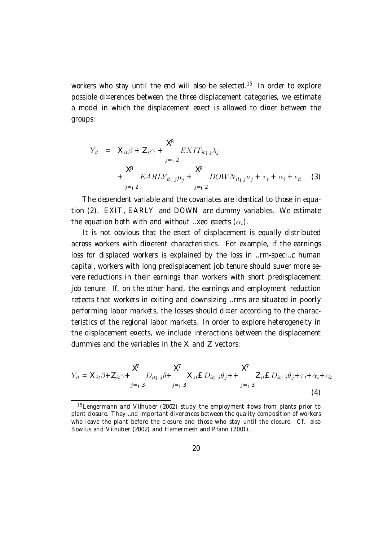workers who stay until the end will also be selected.<sup>15</sup> In order to explore possible di¤erences between the three displacement categories, we estimate a model in which the displacement e¤ect is allowed to di¤er between the groups:

$$
Y_{it} = \mathbf{X}_{it} \boldsymbol{\beta} + \mathbf{Z}_{it} \boldsymbol{\gamma} + \sum_{j=i}^{K} E X I T_{itj} \boldsymbol{\beta}_{j} + \sum_{j=i}^{K} E A R L Y_{itj} \boldsymbol{\beta}_{j} + \sum_{j=i}^{K} D O W N_{itj} \boldsymbol{\beta}_{j} + \tau_{t} + \alpha_{i} + \epsilon_{it}
$$
 (3)

The dependent variable and the covariates are identical to those in equation (2). EXIT, EARLY and DOWN are dummy variables. We estimate the equation both with and without …xed e¤ects  $(\alpha_i)$ .

It is not obvious that the e¤ect of displacement is equally distributed across workers with di¤erent characteristics. For example, if the earnings loss for displaced workers is explained by the loss in …rm-speci…c human capital, workers with long predisplacement job tenure should su¤er more severe reductions in their earnings than workers with short predisplacement job tenure. If, on the other hand, the earnings and employment reduction re‡ects that workers in exiting and downsizing …rms are situated in poorly performing labor markets, the losses should di¤er according to the characteristics of the regional labor markets. In order to explore heterogeneity in the displacement e¤ects, we include interactions between the displacement dummies and the variables in the X and Z vectors:

$$
Y_{it} = \mathbf{X}_{it} \beta + \mathbf{Z}_{it} \gamma + \sum_{j=1}^{K} \sum_{3} \mathbf{X}_{it} \mathbf{X}_{it} \mathbf{E}_{i} D_{it} \beta_{j} + \sum_{j=1}^{K} \mathbf{Z}_{it} \mathbf{E}_{i} D_{it} \beta_{j} + \tau_{t} + \alpha_{i} + \epsilon_{it}
$$
\n(4)

 $15$  Lengermann and Vilhuber (2002) study the employment ‡ows from plants prior to plant closure. They …nd important di¤erences between the quality composition of workers who leave the plant before the closure and those who stay until the closure. Cf. also Bowlus and Vilhuber (2002) and Hamermesh and Pfann (2001).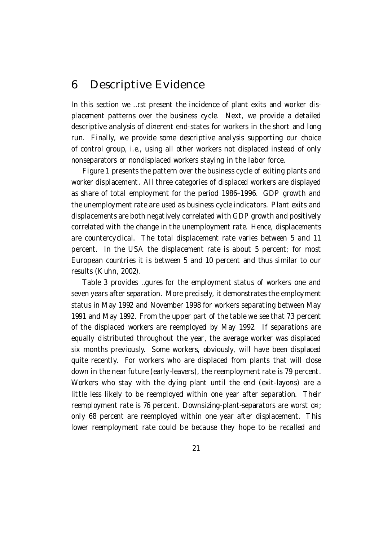### 6 Descriptive Evidence

In this section we …rst present the incidence of plant exits and worker displacement patterns over the business cycle. Next, we provide a detailed descriptive analysis of di¤erent end-states for workers in the short and long run. Finally, we provide some descriptive analysis supporting our choice of control group, i.e., using all other workers not displaced instead of only nonseparators or nondisplaced workers staying in the labor force.

Figure 1 presents the pattern over the business cycle of exiting plants and worker displacement. All three categories of displaced workers are displayed as share of total employment for the period 1986–1996. GDP growth and the unemployment rate are used as business cycle indicators. Plant exits and displacements are both negatively correlated with GDP growth and positively correlated with the change in the unemployment rate. Hence, displacements are countercyclical. The total displacement rate varies between 5 and 11 percent. In the USA the displacement rate is about 5 percent; for most European countries it is between 5 and 10 percent and thus similar to our results (Kuhn, 2002).

Table 3 provides …gures for the employment status of workers one and seven years after separation. More precisely, it demonstrates the employment status in May 1992 and November 1998 for workers separating between May 1991 and May 1992. From the upper part of the table we see that 73 percent of the displaced workers are reemployed by May 1992. If separations are equally distributed throughout the year, the average worker was displaced six months previously. Some workers, obviously, will have been displaced quite recently. For workers who are displaced from plants that will close down in the near future (early-leavers), the reemployment rate is 79 percent. Workers who stay with the dying plant until the end (exit-layo¤s) are a little less likely to be reemployed within one year after separation. Their reemployment rate is 76 percent. Downsizing-plant-separators are worst o¤; only 68 percent are reemployed within one year after displacement. This lower reemployment rate could be because they hope to be recalled and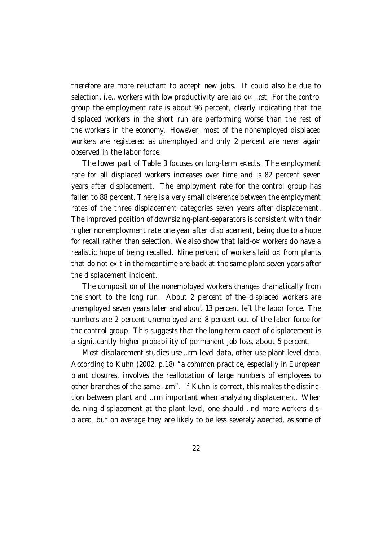therefore are more reluctant to accept new jobs. It could also be due to selection, i.e., workers with low productivity are laid o¤ …rst. For the control group the employment rate is about 96 percent, clearly indicating that the displaced workers in the short run are performing worse than the rest of the workers in the economy. However, most of the nonemployed displaced workers are registered as unemployed and only 2 percent are never again observed in the labor force.

The lower part of Table 3 focuses on long-term e¤ects. The employment rate for all displaced workers increases over time and is 82 percent seven years after displacement. The employment rate for the control group has fallen to 88 percent. There is a very small di¤erence between the employment rates of the three displacement categories seven years after displacement. The improved position of downsizing-plant-separators is consistent with their higher nonemployment rate one year after displacement, being due to a hope for recall rather than selection. We also show that laid-o¤ workers do have a realistic hope of being recalled. Nine percent of workers laid  $o<sup>\alpha</sup>$  from plants that do not exit in the meantime are back at the same plant seven years after the displacement incident.

The composition of the nonemployed workers changes dramatically from the short to the long run. About 2 percent of the displaced workers are unemployed seven years later and about 13 percent left the labor force. The numbers are 2 percent unemployed and 8 percent out of the labor force for the control group. This suggests that the long-term e¤ect of displacement is a signi…cantly higher probability of permanent job loss, about 5 percent.

Most displacement studies use …rm-level data, other use plant-level data. According to Kuhn (2002, p.18) "a common practice, especially in European plant closures, involves the reallocation of large numbers of employees to other branches of the same …rm". If Kuhn is correct, this makes the distinction between plant and …rm important when analyzing displacement. When de…ning displacement at the plant level, one should …nd more workers displaced, but on average they are likely to be less severely a¤ected, as some of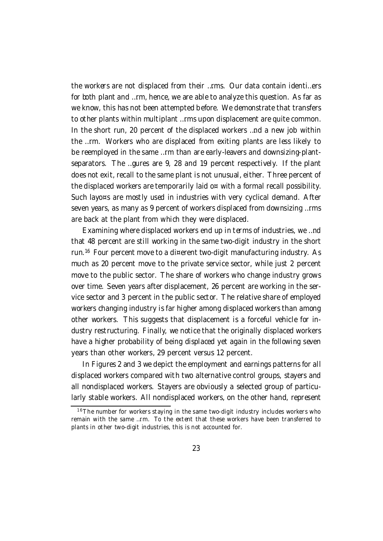the workers are not displaced from their …rms. Our data contain identi…ers for both plant and …rm, hence, we are able to analyze this question. As far as we know, this has not been attempted before. We demonstrate that transfers to other plants within multiplant …rms upon displacement are quite common. In the short run, 20 percent of the displaced workers …nd a new job within the …rm. Workers who are displaced from exiting plants are less likely to be reemployed in the same …rm than are early-leavers and downsizing-plantseparators. The …gures are 9, 28 and 19 percent respectively. If the plant does not exit, recall to the same plant is not unusual, either. Three percent of the displaced workers are temporarily laid  $o<sup>π</sup>$  with a formal recall possibility. Such layo¤s are mostly used in industries with very cyclical demand. After seven years, as many as 9 percent of workers displaced from downsizing …rms are back at the plant from which they were displaced.

Examining where displaced workers end up in terms of industries, we …nd that 48 percent are still working in the same two-digit industry in the short run.<sup>16</sup> Four percent move to a di¤erent two-digit manufacturing industry. As much as 20 percent move to the private service sector, while just 2 percent move to the public sector. The share of workers who change industry grows over time. Seven years after displacement, 26 percent are working in the service sector and 3 percent in the public sector. The relative share of employed workers changing industry is far higher among displaced workers than among other workers. This suggests that displacement is a forceful vehicle for industry restructuring. Finally, we notice that the originally displaced workers have a higher probability of being displaced yet again in the following seven years than other workers, 29 percent versus 12 percent.

In Figures 2 and 3 we depict the employment and earnings patterns for all displaced workers compared with two alternative control groups, stayers and all nondisplaced workers. Stayers are obviously a selected group of particularly stable workers. All nondisplaced workers, on the other hand, represent

 $16$ The number for workers staying in the same two-digit industry includes workers who remain with the same …rm. To the extent that these workers have been transferred to plants in other two-digit industries, this is not accounted for.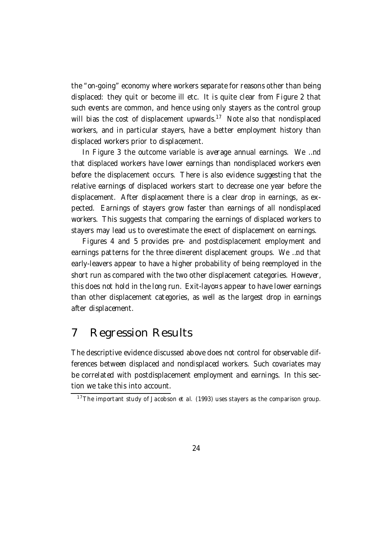the "on-going" economy where workers separate for reasons other than being displaced: they quit or become ill etc. It is quite clear from Figure 2 that such events are common, and hence using only stayers as the control group will bias the cost of displacement upwards.<sup>17</sup> Note also that nondisplaced workers, and in particular stayers, have a better employment history than displaced workers prior to displacement.

In Figure 3 the outcome variable is average annual earnings. We …nd that displaced workers have lower earnings than nondisplaced workers even before the displacement occurs. There is also evidence suggesting that the relative earnings of displaced workers start to decrease one year before the displacement. After displacement there is a clear drop in earnings, as expected. Earnings of stayers grow faster than earnings of all nondisplaced workers. This suggests that comparing the earnings of displaced workers to stayers may lead us to overestimate the e¤ect of displacement on earnings.

Figures 4 and 5 provides pre- and postdisplacement employment and earnings patterns for the three di¤erent displacement groups. We …nd that early-leavers appear to have a higher probability of being reemployed in the short run as compared with the two other displacement categories. However, this does not hold in the long run. Exit-layo¤s appear to have lower earnings than other displacement categories, as well as the largest drop in earnings after displacement.

### 7 Regression Results

The descriptive evidence discussed above does not control for observable differences between displaced and nondisplaced workers. Such covariates may be correlated with postdisplacement employment and earnings. In this section we take this into account.

 $17$ The important study of Jacobson et al. (1993) uses stayers as the comparison group.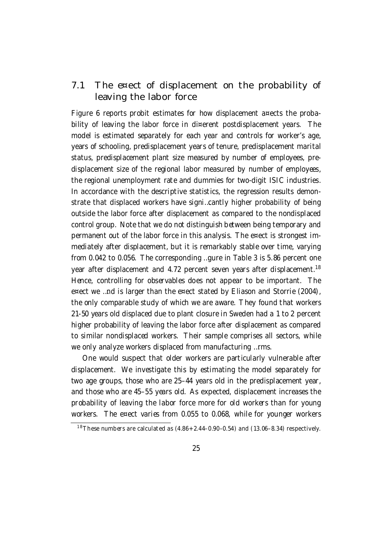### 7.1 The e¤ect of displacement on the probability of leaving the labor force

Figure 6 reports probit estimates for how displacement a¤ects the probability of leaving the labor force in di¤erent postdisplacement years. The model is estimated separately for each year and controls for worker's age, years of schooling, predisplacement years of tenure, predisplacement marital status, predisplacement plant size measured by number of employees, predisplacement size of the regional labor measured by number of employees, the regional unemployment rate and dummies for two-digit ISIC industries. In accordance with the descriptive statistics, the regression results demonstrate that displaced workers have signi…cantly higher probability of being outside the labor force after displacement as compared to the nondisplaced control group. Note that we do not distinguish between being temporary and permanent out of the labor force in this analysis. The e¤ect is strongest immediately after displacement, but it is remarkably stable over time, varying from 0.042 to 0.056. The corresponding …gure in Table 3 is 5.86 percent one year after displacement and 4.72 percent seven years after displacement.<sup>18</sup> Hence, controlling for observables does not appear to be important. The e¤ect we …nd is larger than the e¤ect stated by Eliason and Storrie (2004), the only comparable study of which we are aware. They found that workers 21-50 years old displaced due to plant closure in Sweden had a 1 to 2 percent higher probability of leaving the labor force after displacement as compared to similar nondisplaced workers. Their sample comprises all sectors, while we only analyze workers displaced from manufacturing …rms.

One would suspect that older workers are particularly vulnerable after displacement. We investigate this by estimating the model separately for two age groups, those who are 25–44 years old in the predisplacement year, and those who are 45–55 years old. As expected, displacement increases the probability of leaving the labor force more for old workers than for young workers. The e¤ect varies from 0.055 to 0.068, while for younger workers

<sup>&</sup>lt;sup>18</sup> These numbers are calculated as  $(4.86 + 2.44 - 0.90 - 0.54)$  and  $(13.06 - 8.34)$  respectively.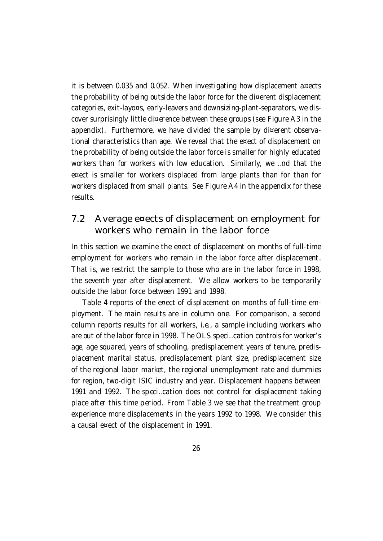it is between 0.035 and 0.052. When investigating how displacement a¤ects the probability of being outside the labor force for the di¤erent displacement categories, exit-layo¤s, early-leavers and downsizing-plant-separators, we discover surprisingly little di¤erence between these groups (see Figure A3 in the appendix). Furthermore, we have divided the sample by di¤erent observational characteristics than age. We reveal that the e¤ect of displacement on the probability of being outside the labor force is smaller for highly educated workers than for workers with low education. Similarly, we …nd that the e¤ect is smaller for workers displaced from large plants than for than for workers displaced from small plants. See Figure A4 in the appendix for these results.

### 7.2 Average e¤ects of displacement on employment for workers who remain in the labor force

In this section we examine the e¤ect of displacement on months of full-time employment for workers who remain in the labor force after displacement. That is, we restrict the sample to those who are in the labor force in 1998, the seventh year after displacement. We allow workers to be temporarily outside the labor force between 1991 and 1998.

Table 4 reports of the e¤ect of displacement on months of full-time employment. The main results are in column one. For comparison, a second column reports results for all workers, i.e., a sample including workers who are out of the labor force in 1998. The OLS speci…cation controls for worker's age, age squared, years of schooling, predisplacement years of tenure, predisplacement marital status, predisplacement plant size, predisplacement size of the regional labor market, the regional unemployment rate and dummies for region, two-digit ISIC industry and year. Displacement happens between 1991 and 1992. The speci…cation does not control for displacement taking place after this time period. From Table 3 we see that the treatment group experience more displacements in the years 1992 to 1998. We consider this a causal e¤ect of the displacement in 1991.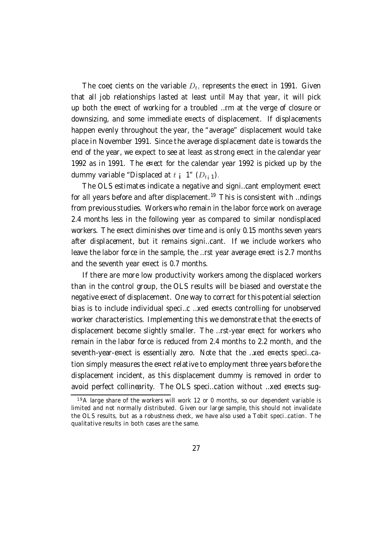The coe¢cients on the variable  $D_t$ , represents the e¤ect in 1991. Given that all job relationships lasted at least until May that year, it will pick up both the e¤ect of working for a troubled …rm at the verge of closure or downsizing, and some immediate e¤ects of displacement. If displacements happen evenly throughout the year, the "average" displacement would take place in November 1991. Since the average displacement date is towards the end of the year, we expect to see at least as strong e¤ect in the calendar year 1992 as in 1991. The e¤ect for the calendar year 1992 is picked up by the dummy variable "Displaced at  $t_i$  1"  $(D_{t_i 1})$ .

The OLS estimates indicate a negative and signi...cant employment e¤ect for all years before and after displacement.<sup>19</sup> This is consistent with ...ndings from previous studies. Workers who remain in the labor force work on average 2.4 months less in the following year as compared to similar nondisplaced workers. The e¤ect diminishes over time and is only 0.15 months seven years after displacement, but it remains signi…cant. If we include workers who leave the labor force in the sample, the …rst year average e¤ect is 2.7 months and the seventh year e¤ect is 0.7 months.

If there are more low productivity workers among the displaced workers than in the control group, the OLS results will be biased and overstate the negative e¤ect of displacement. One way to correct forthis potential selection bias is to include individual speci…c …xed e¤ects controlling for unobserved worker characteristics. Implementing this we demonstrate that the e¤ects of displacement become slightly smaller. The …rst-year e¤ect for workers who remain in the labor force is reduced from 2.4 months to 2.2 month, and the seventh-year-e¤ect is essentially zero. Note that the …xed e¤ects speci…cation simply measures the e¤ect relative to employment three years before the displacement incident, as this displacement dummy is removed in order to avoid perfect collinearity. The OLS speci…cation without …xed e¤ects sug-

 $19A$  large share of the workers will work 12 or 0 months, so our dependent variable is limited and not normally distributed. Given our large sample, this should not invalidate the OLS results, but as a robustness check, we have also used a Tobit speci…cation. The qualitative results in both cases are the same.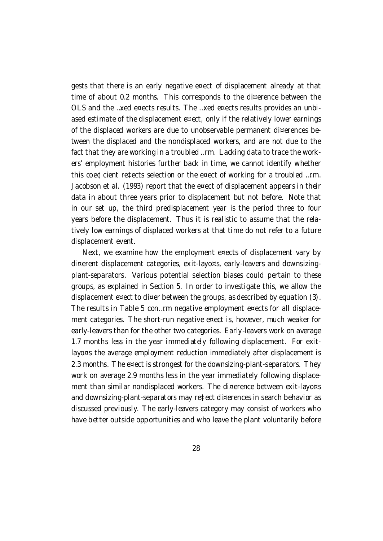gests that there is an early negative e¤ect of displacement already at that time of about 0.2 months. This corresponds to the di¤erence between the OLS and the …xed e¤ects results. The …xed e¤ects results provides an unbiased estimate of the displacement e¤ect, only if the relatively lower earnings of the displaced workers are due to unobservable permanent di¤erences between the displaced and the nondisplaced workers, and are not due to the fact that they are working in a troubled …rm. Lacking data to trace the workers' employment histories further back in time, we cannot identify whether this coe¢cient re‡ects selection or the e¤ect of working for a troubled …rm. Jacobson et al. (1993) report that the e¤ect of displacement appears in their data in about three years prior to displacement but not before. Note that in our set up, the third predisplacement year is the period three to four years before the displacement. Thus it is realistic to assume that the relatively low earnings of displaced workers at that time do not refer to a future displacement event.

Next, we examine how the employment e¤ects of displacement vary by di¤erent displacement categories, exit-layo¤s, early-leavers and downsizingplant-separators. Various potential selection biases could pertain to these groups, as explained in Section 5. In order to investigate this, we allow the displacement e¤ect to di¤er between the groups, as described by equation  $(3)$ . The results in Table 5 con…rm negative employment e¤ects for all displacement categories. The short-run negative e¤ect is, however, much weaker for early-leavers than for the other two categories. Early-leavers work on average 1.7 months less in the year immediately following displacement. For exitlayo¤s the average employment reduction immediately after displacement is 2.3 months. The e¤ect is strongest for the downsizing-plant-separators. They work on average 2.9 months less in the year immediately following displacement than similar nondisplaced workers. The di¤erence between exit-layo¤s and downsizing-plant-separators may re‡ect di¤erences in search behavior as discussed previously. The early-leavers category may consist of workers who have better outside opportunities and who leave the plant voluntarily before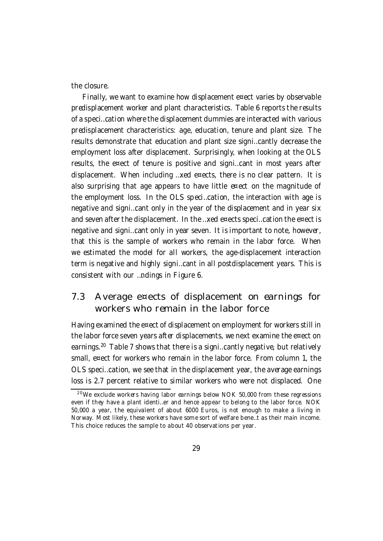the closure.

Finally, we want to examine how displacement e¤ect varies by observable predisplacement worker and plant characteristics. Table 6 reports the results of a speci…cation where the displacement dummies are interacted with various predisplacement characteristics: age, education, tenure and plant size. The results demonstrate that education and plant size signi…cantly decrease the employment loss after displacement. Surprisingly, when looking at the OLS results, the e¤ect of tenure is positive and signi…cant in most years after displacement. When including …xed e¤ects, there is no clear pattern. It is also surprising that age appears to have little e¤ect on the magnitude of the employment loss. In the OLS speci…cation, the interaction with age is negative and signi…cant only in the year of the displacement and in year six and seven after the displacement. In the ... xed e¤ects speci... cation the e¤ect is negative and signi…cant only in year seven. It is important to note, however, that this is the sample of workers who remain in the labor force. When we estimated the model for all workers, the age-displacement interaction term is negative and highly signi…cant in all postdisplacement years. This is consistent with our …ndings in Figure 6.

### 7.3 Average e¤ects of displacement on earnings for workers who remain in the labor force

Having examined the e¤ect of displacement on employment for workers still in the labor force seven years after displacements, we next examine the e¤ect on earnings.<sup>20</sup> Table 7 shows that there is a signi…cantly negative, but relatively small, e¤ect for workers who remain in the labor force. From column 1, the OLS speci…cation, we see that in the displacement year, the average earnings loss is 2.7 percent relative to similar workers who were not displaced. One

 $20$  We exclude workers having labor earnings below NOK 50,000 from these regressions even if they have a plant identi…er and hence appear to belong to the labor force. NOK 50,000 a year, the equivalent of about 6000 Euros, is not enough to make a living in Norway. Most likely, these workers have some sort of welfare bene…t as their main income. This choice reduces the sample to about 40 observations per year.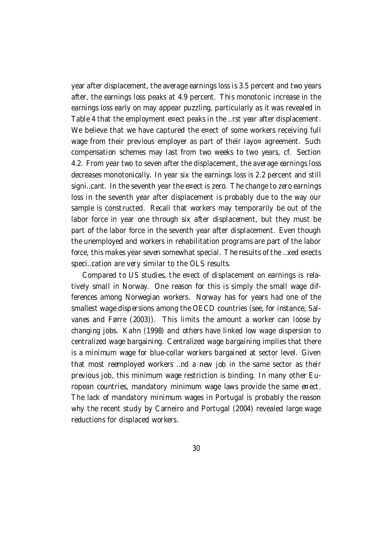year after displacement, the average earnings loss is 3.5 percent and two years after, the earnings loss peaks at 4.9 percent. This monotonic increase in the earnings loss early on may appear puzzling, particularly as it was revealed in Table 4 that the employment e¤ect peaks in the …rst year after displacement. We believe that we have captured the e¤ect of some workers receiving full wage from their previous employer as part of their layo¤ agreement. Such compensation schemes may last from two weeks to two years, cf. Section 4.2. From year two to seven after the displacement, the average earnings loss decreases monotonically. In year six the earnings loss is 2.2 percent and still signi…cant. In the seventh year the e¤ect is zero. The change to zero earnings loss in the seventh year after displacement is probably due to the way our sample is constructed. Recall that workers may temporarily be out of the labor force in year one through six after displacement, but they must be part of the labor force in the seventh year after displacement. Even though the unemployed and workers in rehabilitation programs are part of the labor force, this makes year seven somewhat special. The results of the …xed e¤ects speci…cation are very similar to the OLS results.

Compared to US studies, the e¤ect of displacement on earnings is relatively small in Norway. One reason for this is simply the small wage differences among Norwegian workers. Norway has for years had one of the smallest wage dispersions among the OECD countries (see, for instance, Salvanes and Førre (2003)). This limits the amount a worker can loose by changing jobs. Kahn (1998) and others have linked low wage dispersion to centralized wage bargaining. Centralized wage bargaining implies that there is a minimum wage for blue-collar workers bargained at sector level. Given that most reemployed workers …nd a new job in the same sector as their previous job, this minimum wage restriction is binding. In many other European countries, mandatory minimum wage laws provide the same e¤ect. The lack of mandatory minimum wages in Portugal is probably the reason why the recent study by Carneiro and Portugal (2004) revealed large wage reductions for displaced workers.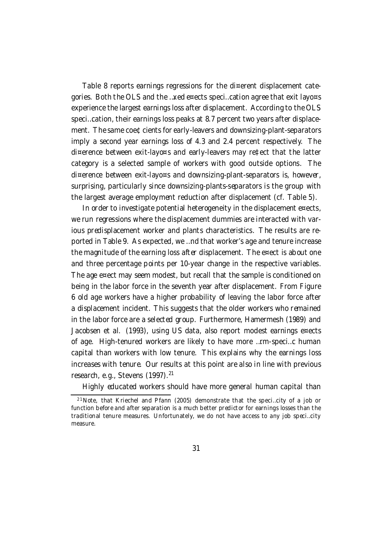Table 8 reports earnings regressions for the di¤erent displacement categories. Both the OLS and the …xed e¤ects speci…cation agree that exit layo¤s experience the largest earnings loss after displacement. According to the OLS speci…cation, their earnings loss peaks at 8.7 percent two years after displacement. The same coe¢cients for early-leavers and downsizing-plant-separators imply a second year earnings loss of 4.3 and 2.4 percent respectively. The di¤erence between exit-layo¤s and early-leavers may re‡ect that the latter category is a selected sample of workers with good outside options. The di¤erence between exit-layo¤s and downsizing-plant-separators is, however, surprising, particularly since downsizing-plants-separators is the group with the largest average employment reduction after displacement (cf. Table 5).

In order to investigate potential heterogeneity in the displacement e¤ects, we run regressions where the displacement dummies are interacted with various predisplacement worker and plants characteristics. The results are reported in Table 9. As expected, we …nd that worker's age and tenure increase the magnitude of the earning loss after displacement. The e¤ect is about one and three percentage points per 10-year change in the respective variables. The age e¤ect may seem modest, but recall that the sample is conditioned on being in the labor force in the seventh year after displacement. From Figure 6 old age workers have a higher probability of leaving the labor force after a displacement incident. This suggests that the older workers who remained in the labor force are a selected group. Furthermore, Hamermesh (1989) and Jacobsen et al. (1993), using US data, also report modest earnings e¤ects of age. High-tenured workers are likely to have more …rm-speci…c human capital than workers with low tenure. This explains why the earnings loss increases with tenure. Our results at this point are also in line with previous research, e.g., Stevens (1997).<sup>21</sup>

Highly educated workers should have more general human capital than

<sup>&</sup>lt;sup>21</sup> Note, that Kriechel and Pfann (2005) demonstrate that the speci...city of a job or function before and after separation is a much better predictor for earnings losses than the traditional tenure measures. Unfortunately, we do not have access to any job speci…city measure.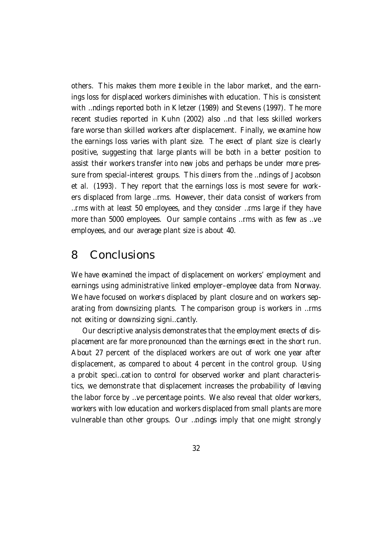others. This makes them more ‡exible in the labor market, and the earnings loss for displaced workers diminishes with education. This is consistent with …ndings reported both in Kletzer (1989) and Stevens (1997). The more recent studies reported in Kuhn (2002) also …nd that less skilled workers fare worse than skilled workers after displacement. Finally, we examine how the earnings loss varies with plant size. The e¤ect of plant size is clearly positive, suggesting that large plants will be both in a better position to assist their workers transfer into new jobs and perhaps be under more pressure from special-interest groups. This di¤ers from the …ndings of Jacobson et al. (1993). They report that the earnings loss is most severe for workers displaced from large …rms. However, their data consist of workers from …rms with at least 50 employees, and they consider …rms large if they have more than 5000 employees. Our sample contains …rms with as few as …ve employees, and our average plant size is about 40.

### 8 Conclusions

We have examined the impact of displacement on workers' employment and earnings using administrative linked employer–employee data from Norway. We have focused on workers displaced by plant closure and on workers separating from downsizing plants. The comparison group is workers in …rms not exiting or downsizing signi…cantly.

Our descriptive analysis demonstrates that the employment e¤ects of displacement are far more pronounced than the earnings e¤ect in the short run. About 27 percent of the displaced workers are out of work one year after displacement, as compared to about 4 percent in the control group. Using a probit speci…cation to control for observed worker and plant characteristics, we demonstrate that displacement increases the probability of leaving the labor force by …ve percentage points. We also reveal that older workers, workers with low education and workers displaced from small plants are more vulnerable than other groups. Our …ndings imply that one might strongly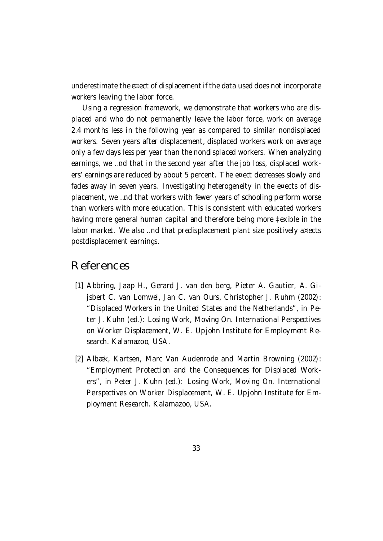underestimate the e¤ect of displacement if the data used does not incorporate workers leaving the labor force.

Using a regression framework, we demonstrate that workers who are displaced and who do not permanently leave the labor force, work on average 2.4 months less in the following year as compared to similar nondisplaced workers. Seven years after displacement, displaced workers work on average only a few days less per year than the nondisplaced workers. When analyzing earnings, we …nd that in the second year after the job loss, displaced workers' earnings are reduced by about 5 percent. The e¤ect decreases slowly and fades away in seven years. Investigating heterogeneity in the e¤ects of displacement, we …nd that workers with fewer years of schooling perform worse than workers with more education. This is consistent with educated workers having more general human capital and therefore being more ‡exible in the labor market. We also …nd that predisplacement plant size positively a¤ects postdisplacement earnings.

### References

- [1] Abbring, Jaap H., Gerard J. van den berg, Pieter A. Gautier, A. Gijsbert C. van Lomwel, Jan C. van Ours, Christopher J. Ruhm (2002): "Displaced Workers in the United States and the Netherlands", in Peter J. Kuhn (ed.): Losing Work, Moving On. International Perspectives on Worker Displacement, W. E. Upjohn Institute for Employment Research. Kalamazoo, USA.
- [2] Albæk, Kartsen, Marc Van Audenrode and Martin Browning (2002): "Employment Protection and the Consequences for Displaced Workers", in Peter J. Kuhn (ed.): Losing Work, Moving On. International Perspectives on Worker Displacement, W. E. Upjohn Institute for Employment Research. Kalamazoo, USA.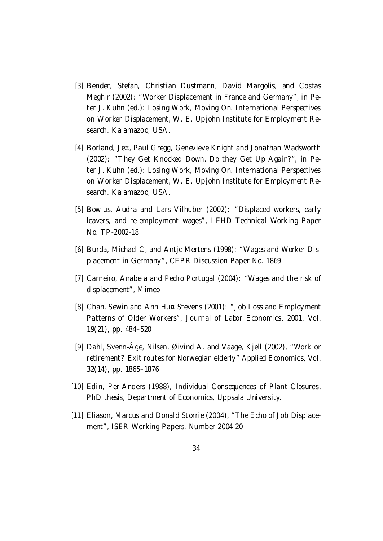- [3] Bender, Stefan, Christian Dustmann, David Margolis, and Costas Meghir (2002): "Worker Displacement in France and Germany", in Peter J. Kuhn (ed.): Losing Work, Moving On. International Perspectives on Worker Displacement, W. E. Upjohn Institute for Employment Research. Kalamazoo, USA.
- [4] Borland, Je¤, Paul Gregg, Genevieve Knight and Jonathan Wadsworth (2002): "They Get Knocked Down. Do they Get Up Again?", in Peter J. Kuhn (ed.): Losing Work, Moving On. International Perspectives on Worker Displacement, W. E. Upjohn Institute for Employment Research. Kalamazoo, USA.
- [5] Bowlus, Audra and Lars Vilhuber (2002): "Displaced workers, early leavers, and re-employment wages", LEHD Technical Working Paper No. TP-2002-18
- [6] Burda, Michael C, and Antie Mertens (1998): "Wages and Worker Displacement in Germany", CEPR Discussion Paper No. 1869
- [7] Carneiro, Anabela and Pedro Portugal (2004): "Wages and the risk of displacement", Mimeo
- [8] Chan, Sewin and Ann Hu¤ Stevens (2001): "Job Loss and Employment Patterns of Older Workers", Journal of Labor Economics, 2001, Vol. 19(21), pp. 484–520
- [9] Dahl, Svenn-Åge, Nilsen, Øivind A. and Vaage, Kjell (2002), "Work or retirement? Exit routes for Norwegian elderly" Applied Economics, Vol. 32(14), pp. 1865–1876
- [10] Edin, Per-Anders (1988), Individual Consequences of Plant Closures, PhD thesis, Department of Economics, Uppsala University.
- [11] Eliason, Marcus and Donald Storrie (2004), "The Echo of Job Displacement", ISER Working Papers, Number 2004-20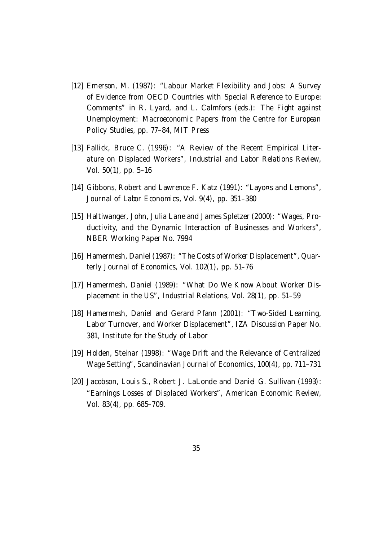- [12] Emerson, M. (1987): "Labour Market Flexibility and Jobs: A Survey of Evidence from OECD Countries with Special Reference to Europe: Comments" in R. Lyard, and L. Calmfors (eds.): The Fight against Unemployment: Macroeconomic Papers from the Centre for European Policy Studies, pp. 77–84, MIT Press
- [13] Fallick, Bruce C. (1996): "A Review of the Recent Empirical Literature on Displaced Workers", Industrial and Labor Relations Review, Vol. 50(1), pp. 5–16
- [14] Gibbons, Robert and Lawrence F. Katz (1991): "Layo¤s and Lemons", Journal of Labor Economics, Vol. 9(4), pp. 351–380
- [15] Haltiwanger, John, Julia Lane and James Spletzer (2000): "Wages, Productivity, and the Dynamic Interaction of Businesses and Workers", NBER Working Paper No. 7994
- [16] Hamermesh, Daniel (1987): "The Costs of Worker Displacement", Quarterly Journal of Economics, Vol. 102(1), pp. 51–76
- [17] Hamermesh, Daniel (1989): "What Do We Know About Worker Displacement in the US", Industrial Relations, Vol. 28(1), pp. 51–59
- [18] Hamermesh, Daniel and Gerard Pfann (2001): "Two-Sided Learning, Labor Turnover, and Worker Displacement", IZA Discussion Paper No. 381, Institute for the Study of Labor
- [19] Holden, Steinar (1998): "Wage Drift and the Relevance of Centralized Wage Setting", Scandinavian Journal of Economics, 100(4), pp. 711–731
- [20] Jacobson, Louis S., Robert J. LaLonde and Daniel G. Sullivan (1993): "Earnings Losses of Displaced Workers", American Economic Review, Vol. 83(4), pp. 685–709.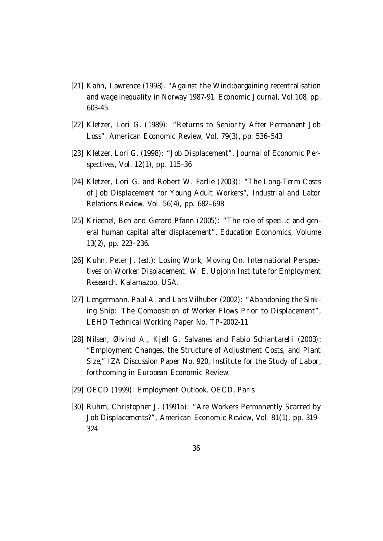- [21] Kahn, Lawrence (1998). "Against the Wind:bargaining recentralisation and wage inequality in Norway 1987-91. Economic Journal, Vol.108, pp. 603-45.
- [22] Kletzer, Lori G. (1989): "Returns to Seniority After Permanent Job Loss", American Economic Review, Vol. 79(3), pp. 536–543
- [23] Kletzer, Lori G. (1998): "Job Displacement", Journal of Economic Perspectives, Vol. 12(1), pp. 115–36
- [24] Kletzer, Lori G. and Robert W. Farlie (2003): "The Long-Term Costs of Job Displacement for Young Adult Workers", Industrial and Labor Relations Review, Vol. 56(4), pp. 682–698
- [25] Kriechel, Ben and Gerard Pfann (2005): "The role of speci...c and general human capital after displacement", Education Economics, Volume 13(2), pp. 223–236.
- [26] Kuhn, Peter J. (ed.): Losing Work, Moving On. International Perspectives on Worker Displacement, W. E. Upjohn Institute for Employment Research. Kalamazoo, USA.
- [27] Lengermann, Paul A. and Lars Vilhuber (2002): "Abandoning the Sinking Ship: The Composition of Worker Flows Prior to Displacement", LEHD Technical Working Paper No. TP-2002-11
- [28] Nilsen, Øivind A., Kjell G. Salvanes and Fabio Schiantarelli (2003): "Employment Changes, the Structure of Adjustment Costs, and Plant Size," IZA Discussion Paper No. 920, Institute for the Study of Labor, forthcoming in European Economic Review.
- [29] OECD (1999): Employment Outlook, OECD, Paris
- [30] Ruhm, Christopher J. (1991a): "Are Workers Permanently Scarred by Job Displacements?", American Economic Review, Vol. 81(1), pp. 319– 324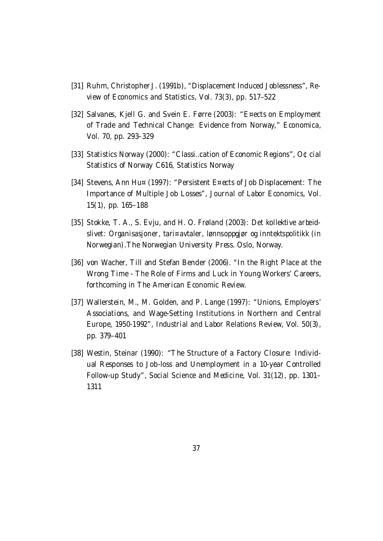- [31] Ruhm, Christopher J. (1991b), "Displacement Induced Joblessness", Review of Economics and Statistics, Vol. 73(3), pp. 517–522
- [32] Salvanes, Kjell G. and Svein E. Førre (2003): "E¤ects on Employment of Trade and Technical Change: Evidence from Norway," Economica, Vol. 70, pp. 293–329
- [33] Statistics Norway (2000): "Classi…cation of Economic Regions", O¢cial Statistics of Norway C616, Statistics Norway
- [34] Stevens, Ann Hu¤ (1997): "Persistent E¤ects of Job Displacement: The Importance of Multiple Job Losses", Journal of Labor Economics, Vol. 15(1), pp. 165–188
- [35] Stokke, T. A., S. Evju, and H. O. Frøland (2003): Det kollektive arbeidslivet: Organisasjoner, tari¤avtaler, lønnsoppgjør og inntektspolitikk (in Norwegian).The Norwegian University Press. Oslo, Norway.
- [36] von Wacher, Till and Stefan Bender (2006). "In the Right Place at the Wrong Time - The Role of Firms and Luck in Young Workers' Careers, forthcoming in The American Economic Review.
- [37] Wallerstein, M., M. Golden, and P. Lange (1997): "Unions, Employers' Associations, and Wage-Setting Institutions in Northern and Central Europe, 1950-1992", Industrial and Labor Relations Review, Vol. 50(3), pp. 379–401
- [38] Westin, Steinar (1990): "The Structure of a Factory Closure: Individual Responses to Job-loss and Unemployment in a 10-year Controlled Follow-up Study", Social Science and Medicine, Vol. 31(12), pp. 1301– 1311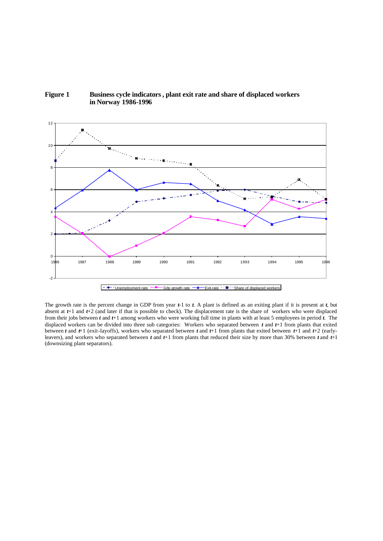



The growth rate is the percent change in GDP from year *t*-1 to *t*. A plant is defined as an exiting plant if it is present at *t*, but absent at *t*+1 and *t*+2 (and later if that is possible to check). The displacement rate is the share of workers who were displaced from their jobs between *t* and *t*+1 among workers who were working full time in plants with at least 5 employees in period *t*. The displaced workers can be divided into three sub categories: Workers who separated between *t* and *t*+1 from plants that exited between *t* and *t*+1 (exit-layoffs), workers who separated between *t* and *t*+1 from plants that exited between *t*+1 and *t*+2 (earlyleavers), and workers who separated between *t* and *t*+1 from plants that reduced their size by more than 30% between *t* and *t*+1 (downsizing plant separators).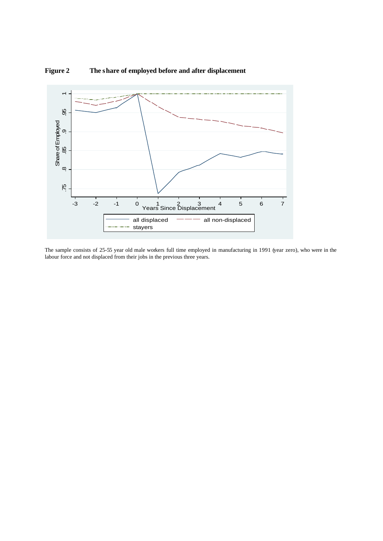

**Figure 2 The share of employed before and after displacement**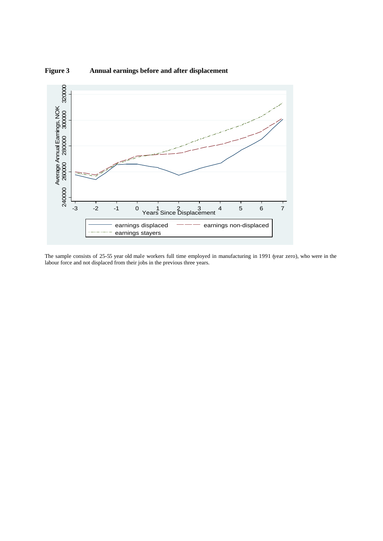

**Figure 3 Annual earnings before and after displacement**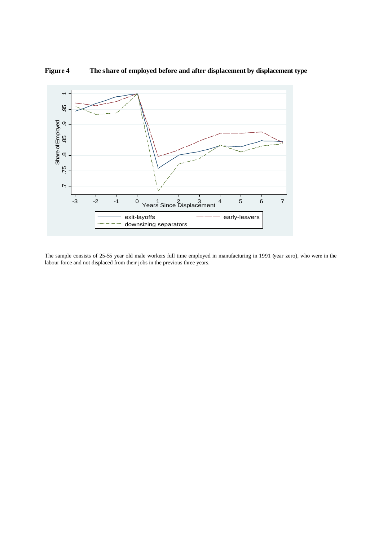

#### **Figure 4 The share of employed before and after displacement by displacement type**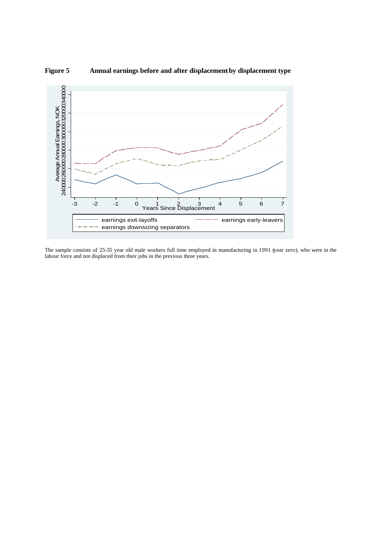

#### **Figure 5 Annual earnings before and after displacement by displacement type**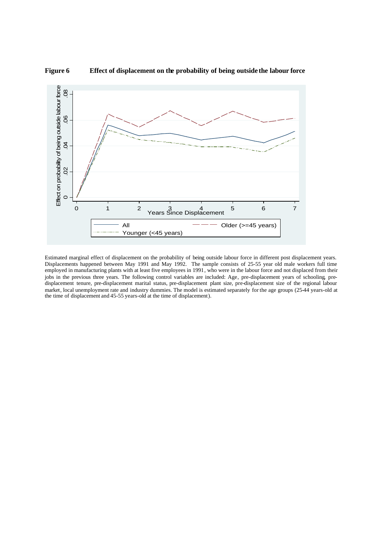

**Figure 6 Effect of displacement on the probability of being outside the labour force** 

Estimated marginal effect of displacement on the probability of being outside labour force in different post displacement years. Displacements happened between May 1991 and May 1992. The sample consists of 25-55 year old male workers full time employed in manufacturing plants with at least five employees in 1991, who were in the labour force and not displaced from their jobs in the previous three years. The following control variables are included: Age, pre-displacement years of schooling, predisplacement tenure, pre-displacement marital status, pre-displacement plant size, pre-displacement size of the regional labour market, local unemployment rate and industry dummies. The model is estimated separately for the age groups (25-44 years-old at the time of displacement and 45-55 years-old at the time of displacement).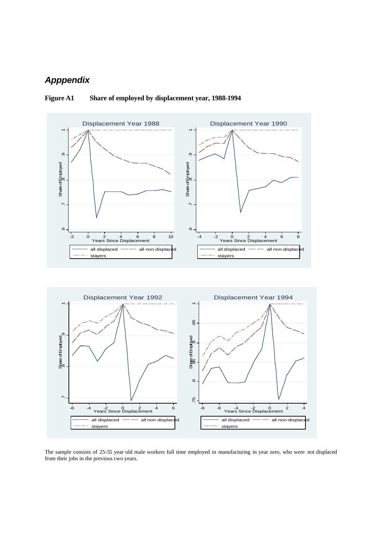### *Apppendix*



#### **Figure A1 Share of employed by displacement year, 1988-1994**

The sample consists of 25-55 year old male workers full time employed in manufacturing in year zero, who were not displaced from their jobs in the previous two years.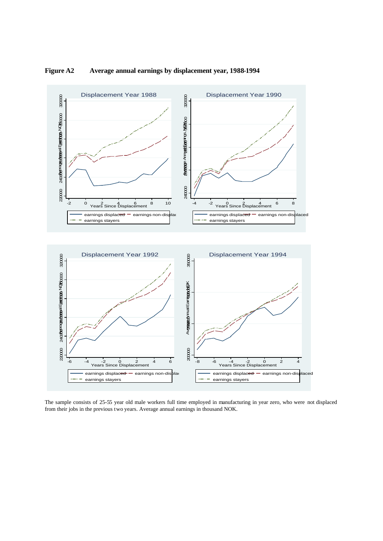

#### **Figure A2 Average annual earnings by displacement year, 1988-1994**

The sample consists of 25-55 year old male workers full time employed in manufacturing in year zero, who were not displaced from their jobs in the previous two years. Average annual earnings in thousand NOK.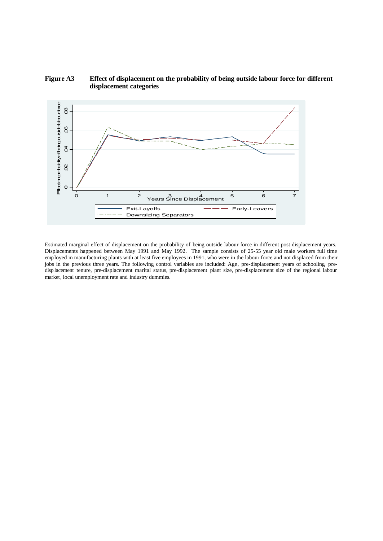

#### **Figure A3 Effect of displacement on the probability of being outside labour force for different displacement categories**

Estimated marginal effect of displacement on the probability of being outside labour force in different post displacement years. Displacements happened between May 1991 and May 1992. The sample consists of 25-55 year old male workers full time employed in manufacturing plants with at least five employees in 1991, who were in the labour force and not displaced from their jobs in the previous three years. The following control variables are included: Age, pre-displacement years of schooling, predisp lacement tenure, pre-displacement marital status, pre-displacement plant size, pre-displacement size of the regional labour market, local unemployment rate and industry dummies.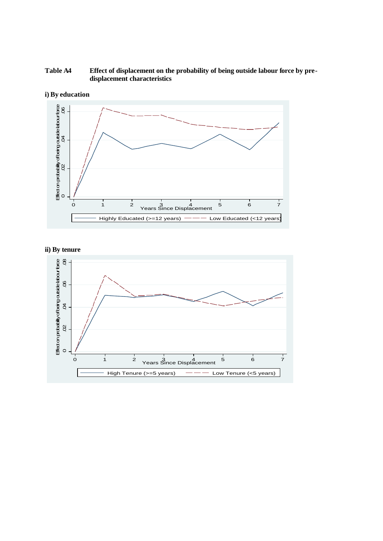#### **Table A4 Effect of displacement on the probability of being outside labour force by predisplacement characteristics**



**i) By education**



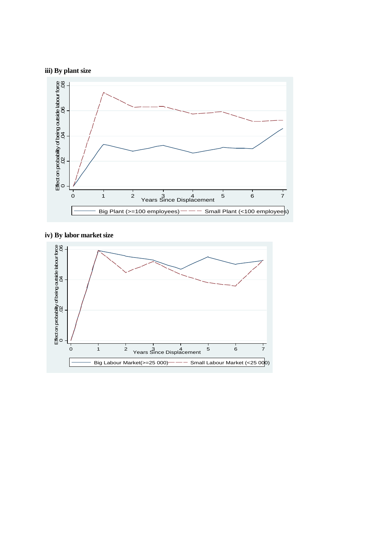



#### **iv) By labor market size**

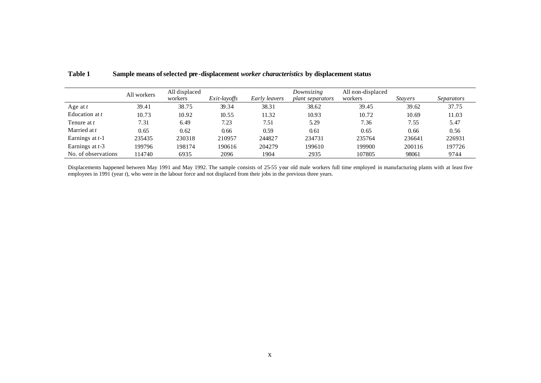|                     | All workers | All displaced<br>workers | Exit-layoffs | Early leavers | Downsizing<br><i>plant separators</i> | All non-displaced<br>workers | <i>Stavers</i> | Separators |
|---------------------|-------------|--------------------------|--------------|---------------|---------------------------------------|------------------------------|----------------|------------|
| Age at $t$          | 39.41       | 38.75                    | 39.34        | 38.31         | 38.62                                 | 39.45                        | 39.62          | 37.75      |
| Education at t      | 10.73       | 10.92                    | 10.55        | 11.32         | 10.93                                 | 10.72                        | 10.69          | 11.03      |
| Tenure at t         | 7.31        | 6.49                     | 7.23         | 7.51          | 5.29                                  | 7.36                         | 7.55           | 5.47       |
| Married at t        | 0.65        | 0.62                     | 0.66         | 0.59          | 0.61                                  | 0.65                         | 0.66           | 0.56       |
| Earnings at t-1     | 235435      | 230318                   | 210957       | 244827        | 234731                                | 235764                       | 236641         | 226931     |
| Earnings at $t-3$   | 199796      | 198174                   | 190616       | 204279        | 199610                                | 199900                       | 200116         | 197726     |
| No. of observations | 114740      | 6935                     | 2096         | 1904          | 2935                                  | 107805                       | 98061          | 9744       |

#### **Table 1 Sample means of selected pre -displacement** *worker characteristics* **by displacement status**

Displacements happened between May 1991 and May 1992. The sample consists of 25-55 year old male workers full time employed in manufacturing plants with at least five employees in 1991 (year *t*), who were in the labour force and not displaced from their jobs in the previous three years.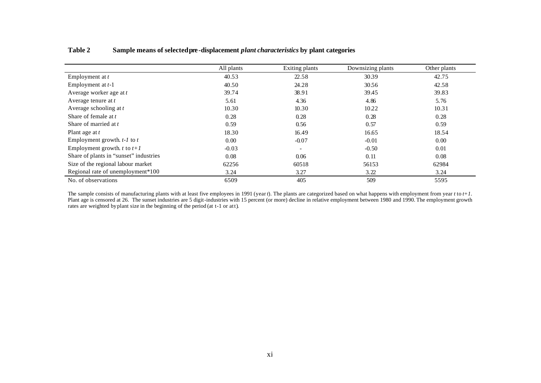| Table 2 |  | Sample means of selected pre-displacement <i>plant characteristics</i> by plant categories |  |  |  |
|---------|--|--------------------------------------------------------------------------------------------|--|--|--|
|---------|--|--------------------------------------------------------------------------------------------|--|--|--|

|                                        | All plants | Exiting plants           | Downsizing plants | Other plants |
|----------------------------------------|------------|--------------------------|-------------------|--------------|
| Employment at t                        | 40.53      | 22.58                    | 30.39             | 42.75        |
| Employment at $t-1$                    | 40.50      | 24.28                    | 30.56             | 42.58        |
| Average worker age at t                | 39.74      | 38.91                    | 39.45             | 39.83        |
| Average tenure at $t$                  | 5.61       | 4.36                     | 4.86              | 5.76         |
| Average schooling at $t$               | 10.30      | 10.30                    | 10.22             | 10.31        |
| Share of female at t                   | 0.28       | 0.28                     | 0.28              | 0.28         |
| Share of married at t                  | 0.59       | 0.56                     | 0.57              | 0.59         |
| Plant age at t                         | 18.30      | 16.49                    | 16.65             | 18.54        |
| Employment growth. $t$ - $l$ to $t$    | 0.00       | $-0.07$                  | $-0.01$           | 0.00         |
| Employment growth. $t$ to $t+1$        | $-0.03$    | $\overline{\phantom{a}}$ | $-0.50$           | 0.01         |
| Share of plants in "sunset" industries | 0.08       | 0.06                     | 0.11              | 0.08         |
| Size of the regional labour market     | 62256      | 60518                    | 56153             | 62984        |
| Regional rate of unemployment*100      | 3.24       | 3.27                     | 3.22              | 3.24         |
| No. of observations                    | 6509       | 405                      | 509               | 5595         |

The sample consists of manufacturing plants with at least five employees in 1991 (year *t*). The plants are categorized based on what happens with employment from year *t* to *t+1*. Plant age is censored at 26. The sunset industries are 5 digit-industries with 15 percent (or more) decline in relative employment between 1980 and 1990. The employment growth rates are weighted by plant size in the beginning of the period (at t-1 or att).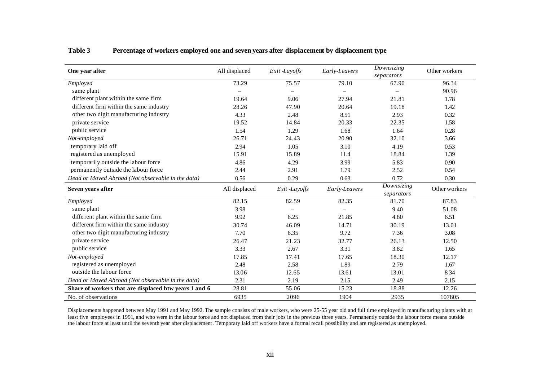| One year after                                        | All displaced | Exit -Layoffs            | Early-Leavers | Downsizing<br>separators | Other workers |
|-------------------------------------------------------|---------------|--------------------------|---------------|--------------------------|---------------|
| Employed                                              | 73.29         | 75.57                    | 79.10         | 67.90                    | 96.34         |
| same plant                                            |               |                          |               |                          | 90.96         |
| different plant within the same firm                  | 19.64         | 9.06                     | 27.94         | 21.81                    | 1.78          |
| different firm within the same industry               | 28.26         | 47.90                    | 20.64         | 19.18                    | 1.42          |
| other two digit manufacturing industry                | 4.33          | 2.48                     | 8.51          | 2.93                     | 0.32          |
| private service                                       | 19.52         | 14.84                    | 20.33         | 22.35                    | 1.58          |
| public service                                        | 1.54          | 1.29                     | 1.68          | 1.64                     | 0.28          |
| Not-employed                                          | 26.71         | 24.43                    | 20.90         | 32.10                    | 3.66          |
| temporary laid off                                    | 2.94          | 1.05                     | 3.10          | 4.19                     | 0.53          |
| registered as unemployed                              | 15.91         | 15.89                    | 11.4          | 18.84                    | 1.39          |
| temporarily outside the labour force                  | 4.86          | 4.29                     | 3.99          | 5.83                     | 0.90          |
| permanently outside the labour force                  | 2.44          | 2.91                     | 1.79          | 2.52                     | 0.54          |
| Dead or Moved Abroad (Not observable in the data)     | 0.56          | 0.29                     | 0.63          | 0.72                     | 0.30          |
| Seven years after                                     | All displaced | Exit -Layoffs            | Early-Leavers | Downsizing<br>separators | Other workers |
| Employed                                              | 82.15         | 82.59                    | 82.35         | 81.70                    | 87.83         |
| same plant                                            | 3.98          | $\overline{\phantom{0}}$ |               | 9.40                     | 51.08         |
| different plant within the same firm                  | 9.92          | 6.25                     | 21.85         | 4.80                     | 6.51          |
| different firm within the same industry               | 30.74         | 46.09                    | 14.71         | 30.19                    | 13.01         |
| other two digit manufacturing industry                | 7.70          | 6.35                     | 9.72          | 7.36                     | 3.08          |
| private service                                       | 26.47         | 21.23                    | 32.77         | 26.13                    | 12.50         |
| public service                                        | 3.33          | 2.67                     | 3.31          | 3.82                     | 1.65          |
| Not-employed                                          | 17.85         | 17.41                    | 17.65         | 18.30                    | 12.17         |
| registered as unemployed                              | 2.48          | 2.58                     | 1.89          | 2.79                     | 1.67          |
| outside the labour force                              | 13.06         | 12.65                    | 13.61         | 13.01                    | 8.34          |
| Dead or Moved Abroad (Not observable in the data)     | 2.31          | 2.19                     | 2.15          | 2.49                     | 2.15          |
| Share of workers that are displaced btw years 1 and 6 | 28.81         | 55.06                    | 15.23         | 18.88                    | 12.26         |
| No. of observations                                   | 6935          | 2096                     | 1904          | 2935                     | 107805        |

#### **Table 3 Percentage of workers employed one and seven years after displacement by displacement type**

Displacements happened between May 1991 and May 1992. The sample consists of male workers, who were 25-55 year old and full time employed in manufacturing plants with at least five employees in 1991, and who were in the labour force and not displaced from their jobs in the previous three years. Permanently outside the labour force means outside the labour force at least until the seventh year after displacement. Temporary laid off workers have a formal recall possibility and are registered as unemployed.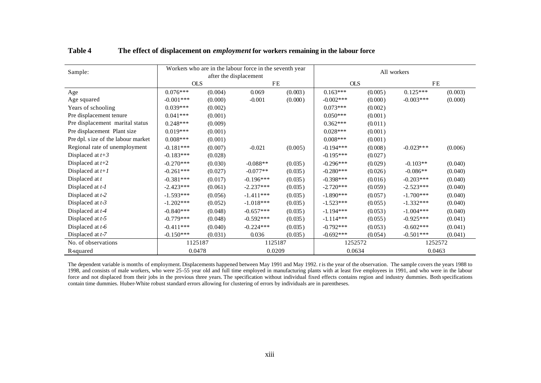| Sample:                             |             |         | Workers who are in the labour force in the seventh year<br>after the displacement |         | All workers |         |             |         |  |
|-------------------------------------|-------------|---------|-----------------------------------------------------------------------------------|---------|-------------|---------|-------------|---------|--|
|                                     | <b>OLS</b>  |         | <b>FE</b>                                                                         |         | <b>OLS</b>  |         | <b>FE</b>   |         |  |
| Age                                 | $0.076***$  | (0.004) | 0.069                                                                             | (0.003) | $0.163***$  | (0.005) | $0.125***$  | (0.003) |  |
| Age squared                         | $-0.001***$ | (0.000) | $-0.001$                                                                          | (0.000) | $-0.002***$ | (0.000) | $-0.003***$ | (0.000) |  |
| Years of schooling                  | $0.039***$  | (0.002) |                                                                                   |         | $0.073***$  | (0.002) |             |         |  |
| Pre displacement tenure             | $0.041***$  | (0.001) |                                                                                   |         | $0.050***$  | (0.001) |             |         |  |
| Pre displacement marital status     | $0.248***$  | (0.009) |                                                                                   |         | $0.362***$  | (0.011) |             |         |  |
| Pre displacement Plant size         | $0.019***$  | (0.001) |                                                                                   |         | $0.028***$  | (0.001) |             |         |  |
| Pre dpl. s ize of the labour market | $0.008***$  | (0.001) |                                                                                   |         | $0.008***$  | (0.001) |             |         |  |
| Regional rate of unemployment       | $-0.181***$ | (0.007) | $-0.021$                                                                          | (0.005) | $-0.194***$ | (0.008) | $-0.023***$ | (0.006) |  |
| Displaced at $t+3$                  | $-0.183***$ | (0.028) |                                                                                   |         | $-0.195***$ | (0.027) |             |         |  |
| Displaced at $t+2$                  | $-0.270***$ | (0.030) | $-0.088**$                                                                        | (0.035) | $-0.296***$ | (0.029) | $-0.103**$  | (0.040) |  |
| Displaced at $t+1$                  | $-0.261***$ | (0.027) | $-0.077**$                                                                        | (0.035) | $-0.280***$ | (0.026) | $-0.086**$  | (0.040) |  |
| Displaced at $t$                    | $-0.381***$ | (0.017) | $-0.196***$                                                                       | (0.035) | $-0.398***$ | (0.016) | $-0.203***$ | (0.040) |  |
| Displaced at $t$ - $l$              | $-2.423***$ | (0.061) | $-2.237***$                                                                       | (0.035) | $-2.720***$ | (0.059) | $-2.523***$ | (0.040) |  |
| Displaced at $t-2$                  | $-1.593***$ | (0.056) | $-1.411***$                                                                       | (0.035) | $-1.890***$ | (0.057) | $-1.700***$ | (0.040) |  |
| Displaced at $t-3$                  | $-1.202***$ | (0.052) | $-1.018***$                                                                       | (0.035) | $-1.523***$ | (0.055) | $-1.332***$ | (0.040) |  |
| Displaced at $t-4$                  | $-0.840***$ | (0.048) | $-0.657***$                                                                       | (0.035) | $-1.194***$ | (0.053) | $-1.004***$ | (0.040) |  |
| Displaced at $t-5$                  | $-0.779***$ | (0.048) | $-0.592***$                                                                       | (0.035) | $-1.114***$ | (0.055) | $-0.925***$ | (0.041) |  |
| Displaced at $t-6$                  | $-0.411***$ | (0.040) | $-0.224***$                                                                       | (0.035) | $-0.792***$ | (0.053) | $-0.602***$ | (0.041) |  |
| Displaced at t-7                    | $-0.150***$ | (0.031) | 0.036                                                                             | (0.035) | $-0.692***$ | (0.054) | $-0.501***$ | (0.041) |  |
| No. of observations                 | 1125187     |         | 1125187                                                                           |         | 1252572     |         | 1252572     |         |  |
| R-squared                           | 0.0478      |         | 0.0209                                                                            |         | 0.0634      |         | 0.0463      |         |  |

**Table 4 The effect of displacement on** *employment* **for workers remaining in the labour force**

The dependent variable is months of employment. Displacements happened between May 1991 and May 1992. *t* is the year of the observation. The sample covers the years 1988 to 1998, and consists of male workers, who were 25-55 year old and full time employed in manufacturing plants with at least five employees in 1991, and who were in the labour force and not displaced from their jobs in the previous three years. The specification without individual fixed effects contains region and industry dummies. Both specifications contain time dummies. Huber-White robust standard errors allowing for clustering of errors by individuals are in parentheses.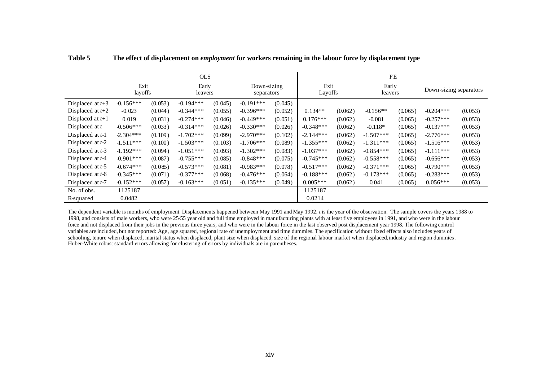|                    |                 |         | <b>OLS</b>       |         |                           |         | <b>FE</b>       |         |                  |                        |             |         |
|--------------------|-----------------|---------|------------------|---------|---------------------------|---------|-----------------|---------|------------------|------------------------|-------------|---------|
|                    | Exit<br>layoffs |         | Early<br>leavers |         | Down-sizing<br>separators |         | Exit<br>Layoffs |         | Early<br>leavers | Down-sizing separators |             |         |
| Displaced at $t+3$ | $-0.156***$     | (0.053) | $-0.194***$      | (0.045) | $-0.191***$               | (0.045) |                 |         |                  |                        |             |         |
| Displaced at $t+2$ | $-0.023$        | (0.044) | $-0.344***$      | (0.055) | $-0.396***$               | (0.052) | $0.134**$       | (0.062) | $-0.156**$       | (0.065)                | $-0.204***$ | (0.053) |
| Displaced at $t+1$ | 0.019           | (0.031) | $-0.274***$      | (0.046) | $-0.449***$               | (0.051) | $0.176***$      | (0.062) | $-0.081$         | (0.065)                | $-0.257***$ | (0.053) |
| Displaced at t     | $-0.506***$     | (0.033) | $-0.314***$      | (0.026) | $-0.330***$               | (0.026) | $-0.348***$     | (0.062) | $-0.118*$        | (0.065)                | $-0.137***$ | (0.053) |
| Displaced at $t-1$ | $-2.304***$     | (0.109) | $-1.702***$      | (0.099) | $-2.970***$               | (0.102) | $-2.144***$     | (0.062) | $-1.507***$      | (0.065)                | $-2.776***$ | (0.053) |
| Displaced at $t-2$ | $-1.511***$     | (0.100) | $-1.503***$      | (0.103) | $-1.706***$               | (0.089) | $-1.355***$     | (0.062) | $-1.311***$      | (0.065)                | $-1.516***$ | (0.053) |
| Displaced at $t-3$ | $-1.192***$     | (0.094) | $-1.051***$      | (0.093) | $-1.302***$               | (0.083) | $-1.037***$     | (0.062) | $-0.854***$      | (0.065)                | $-1.111***$ | (0.053) |
| Displaced at $t-4$ | $-0.901***$     | (0.087) | $-0.755***$      | (0.085) | $-0.848***$               | (0.075) | $-0.745***$     | (0.062) | $-0.558***$      | (0.065)                | $-0.656***$ | (0.053) |
| Displaced at $t-5$ | $-0.674***$     | (0.085) | $-0.573***$      | (0.081) | $-0.983***$               | (0.078) | $-0.517***$     | (0.062) | $-0.371***$      | (0.065)                | $-0.790***$ | (0.053) |
| Displaced at $t-6$ | $-0.345***$     | (0.071) | $-0.377***$      | (0.068) | $-0.476***$               | (0.064) | $-0.188***$     | (0.062) | $-0.173***$      | (0.065)                | $-0.283***$ | (0.053) |
| Displaced at $t-7$ | $-0.152***$     | (0.057) | $-0.163***$      | (0.051) | $-0.135***$               | (0.049) | $0.005***$      | (0.062) | 0.041            | (0.065)                | $0.056***$  | (0.053) |
| No. of obs.        | 1125187         |         |                  |         |                           |         | 1125187         |         |                  |                        |             |         |
| R-squared          | 0.0482          |         |                  |         |                           |         | 0.0214          |         |                  |                        |             |         |

**Table 5 The effect of displacement on** *employment* **for workers remaining in the labour force by displacement type**

The dependent variable is months of employment. Displacements happened between May 1991 and May 1992. *t* is the year of the observation. The sample covers the years 1988 to 1998, and consists of male workers, who were 25-55 year old and full time employed in manufacturing plants with at least five employees in 1991, and who were in the labour force and not displaced from their jobs in the previous three years, and who were in the labour force in the last observed post displacement year 1998. The following control variables are included, but not reported: Age, age squared, regional rate of unemployment and time dummies. The specification without fixed effects also includes years of schooling, tenure when displaced, marital status when displaced, plant size when displaced, size of the regional labour market when displaced, industry and region dummies. Huber-White robust standard errors allowing for clustering of errors by individuals are in parentheses.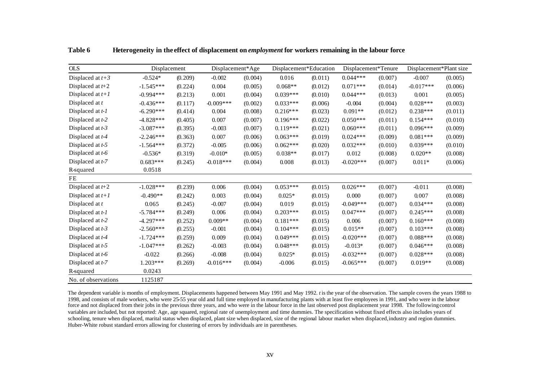| <b>OLS</b>          | Displacement |         | Displacement*Age |         | Displacement*Education |         | Displacement*Tenure |         | Displacement*Plant size |         |
|---------------------|--------------|---------|------------------|---------|------------------------|---------|---------------------|---------|-------------------------|---------|
| Displaced at $t+3$  | $-0.524*$    | (0.209) | $-0.002$         | (0.004) | 0.016                  | (0.011) | $0.044***$          | (0.007) | $-0.007$                | (0.005) |
| Displaced at $t+2$  | $-1.545***$  | (0.224) | 0.004            | (0.005) | $0.068**$              | (0.012) | $0.071***$          | (0.014) | $-0.017***$             | (0.006) |
| Displaced at $t+1$  | $-0.994***$  | (0.213) | 0.001            | (0.004) | $0.039***$             | (0.010) | $0.044***$          | (0.013) | 0.001                   | (0.005) |
| Displaced at $t$    | $-0.436***$  | (0.117) | $-0.009***$      | (0.002) | $0.033***$             | (0.006) | $-0.004$            | (0.004) | $0.028***$              | (0.003) |
| Displaced at $t-1$  | $-6.290***$  | (0.414) | 0.004            | (0.008) | $0.216***$             | (0.023) | $0.091**$           | (0.012) | $0.238***$              | (0.011) |
| Displaced at t-2    | $-4.828***$  | (0.405) | 0.007            | (0.007) | $0.196***$             | (0.022) | $0.050***$          | (0.011) | $0.154***$              | (0.010) |
| Displaced at $t-3$  | $-3.087***$  | (0.395) | $-0.003$         | (0.007) | $0.119***$             | (0.021) | $0.060***$          | (0.011) | $0.096***$              | (0.009) |
| Displaced at t-4    | $-2.246***$  | (0.363) | 0.007            | (0.006) | $0.063***$             | (0.019) | $0.024***$          | (0.009) | $0.081***$              | (0.009) |
| Displaced at t-5    | $-1.564***$  | (0.372) | $-0.005$         | (0.006) | $0.062***$             | (0.020) | $0.032***$          | (0.010) | $0.039***$              | (0.010) |
| Displaced at t-6    | $-0.536*$    | (0.319) | $-0.010*$        | (0.005) | $0.038**$              | (0.017) | 0.012               | (0.008) | $0.020**$               | (0.008) |
| Displaced at t-7    | $0.683***$   | (0.245) | $-0.018***$      | (0.004) | 0.008                  | (0.013) | $-0.020***$         | (0.007) | $0.011*$                | (0.006) |
| R-squared           | 0.0518       |         |                  |         |                        |         |                     |         |                         |         |
| FE                  |              |         |                  |         |                        |         |                     |         |                         |         |
| Displaced at $t+2$  | $-1.028***$  | (0.239) | 0.006            | (0.004) | $0.053***$             | (0.015) | $0.026***$          | (0.007) | $-0.011$                | (0.008) |
| Displaced at $t+1$  | $-0.490**$   | (0.242) | 0.003            | (0.004) | $0.025*$               | (0.015) | 0.000               | (0.007) | 0.007                   | (0.008) |
| Displaced at $t$    | 0.065        | (0.245) | $-0.007$         | (0.004) | 0.019                  | (0.015) | $-0.049***$         | (0.007) | $0.034***$              | (0.008) |
| Displaced at $t-1$  | $-5.784***$  | (0.249) | 0.006            | (0.004) | $0.203***$             | (0.015) | $0.047***$          | (0.007) | $0.245***$              | (0.008) |
| Displaced at t-2    | $-4.297***$  | (0.252) | $0.009**$        | (0.004) | $0.181***$             | (0.015) | 0.006               | (0.007) | $0.160***$              | (0.008) |
| Displaced at t-3    | $-2.560***$  | (0.255) | $-0.001$         | (0.004) | $0.104***$             | (0.015) | $0.015**$           | (0.007) | $0.103***$              | (0.008) |
| Displaced at t-4    | $-1.724***$  | (0.259) | 0.009            | (0.004) | $0.049***$             | (0.015) | $-0.020***$         | (0.007) | $0.088***$              | (0.008) |
| Displaced at t-5    | $-1.047***$  | (0.262) | $-0.003$         | (0.004) | $0.048***$             | (0.015) | $-0.013*$           | (0.007) | $0.046***$              | (0.008) |
| Displaced at t-6    | $-0.022$     | (0.266) | $-0.008$         | (0.004) | $0.025*$               | (0.015) | $-0.032***$         | (0.007) | $0.028***$              | (0.008) |
| Displaced at t-7    | $1.203***$   | (0.269) | $-0.016***$      | (0.004) | $-0.006$               | (0.015) | $-0.065***$         | (0.007) | $0.019**$               | (0.008) |
| R-squared           | 0.0243       |         |                  |         |                        |         |                     |         |                         |         |
| No. of observations | 1125187      |         |                  |         |                        |         |                     |         |                         |         |

**Table 6 Heterogeneity in the effect of displacement on** *employment* **for workers remaining in the labour force**

The dependent variable is months of employment. Displacements happened between May 1991 and May 1992. *t* is the year of the observation. The sample covers the years 1988 to 1998, and consists of male workers, who were 25-55 year old and full time employed in manufacturing plants with at least five employees in 1991, and who were in the labour force and not displaced from their jobs in the previous three years, and who were in the labour force in the last observed post displacement year 1998. The following control variables are included, but not reported: Age, age squared, regional rate of unemployment and time dummies. The specification without fixed effects also includes years of schooling, tenure when displaced, marital status when displaced, plant size when displaced, size of the regional labour market when displaced, industry and region dummies. Huber-White robust standard errors allowing for clustering of errors by individuals are in parentheses.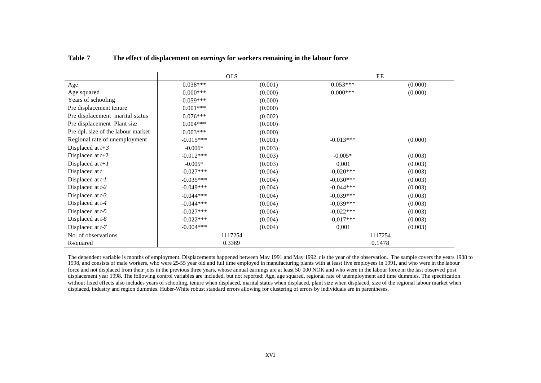|                                    | <b>OLS</b>  |         | FE          |         |
|------------------------------------|-------------|---------|-------------|---------|
| Age                                | $0.038***$  | (0.001) | $0.053***$  | (0.000) |
| Age squared                        | $0.000***$  | (0.000) | $0.000***$  | (0.000) |
| Years of schooling                 | $0.059***$  | (0.000) |             |         |
| Pre displacement tenure            | $0.001***$  | (0.000) |             |         |
| Pre displacement marital status    | $0.076***$  | (0.002) |             |         |
| Pre displacement Plant size        | $0.004***$  | (0.000) |             |         |
| Pre dpl. size of the labour market | $0.003***$  | (0.000) |             |         |
| Regional rate of unemployment      | $-0.015***$ | (0.001) | $-0.013***$ | (0.000) |
| Displaced at $t+3$                 | $-0.006*$   | (0.003) |             |         |
| Displaced at $t+2$                 | $-0.012***$ | (0.003) | $-0,005*$   | (0.003) |
| Displaced at $t+1$                 | $-0.005*$   | (0.003) | 0,001       | (0.003) |
| Displaced at t                     | $-0.027***$ | (0.004) | $-0.020***$ | (0.003) |
| Displaced at $t$ - $l$             | $-0.035***$ | (0.004) | $-0.030***$ | (0.003) |
| Displaced at $t-2$                 | $-0.049***$ | (0.004) | $-0.044***$ | (0.003) |
| Displaced at $t-3$                 | $-0.044***$ | (0.004) | $-0.039***$ | (0.003) |
| Displaced at $t-4$                 | $-0.044***$ | (0.004) | $-0.039***$ | (0.003) |
| Displaced at $t-5$                 | $-0.027***$ | (0.004) | $-0.022***$ | (0.003) |
| Displaced at $t-6$                 | $-0.022***$ | (0.004) | $-0.017***$ | (0.003) |
| Displaced at $t-7$                 | $-0.004***$ | (0.004) | 0,001       | (0.003) |
| No. of observations                | 1117254     |         | 1117254     |         |
| R-squared                          | 0.3369      |         | 0.1478      |         |

**Table 7 The effect of displacement on** *earnings* **for workers remaining in the labour force**

The dependent variable is months of employment. Displacements happened between May 1991 and May 1992. *t* is the year of the observation. The sample covers the years 1988 to 1998, and consists of male workers, who were 25-55 year old and full time employed in manufacturing plants with at least five employees in 1991, and who were in the labour force and not displaced from their jobs in the previous three years, whose annual earnings are at least 50 000 NOK and who were in the labour force in the last observed post displacement year 1998. The following control variables are included, but not reported: Age, age squared, regional rate of unemployment and time dummies. The specification without fixed effects also includes years of schooling, tenure when displaced, marital status when displaced, plant size when displaced, size of the regional labour market when displaced, industry and region dummies. Huber-White robust standard errors allowing for clustering of errors by individuals are in parentheses.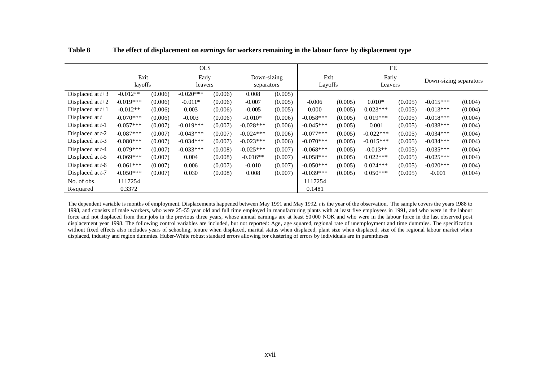|                    |             |         | <b>OLS</b>   |         |             |             | <b>FE</b>   |         |             |         |                        |         |  |
|--------------------|-------------|---------|--------------|---------|-------------|-------------|-------------|---------|-------------|---------|------------------------|---------|--|
|                    | Exit        |         | Early        |         |             | Down-sizing |             | Exit    |             | Early   | Down-sizing separators |         |  |
|                    | layoffs     |         | leavers      |         | separators  |             |             | Layoffs |             | Leavers |                        |         |  |
| Displaced at $t+3$ | $-0.012**$  | (0.006) | $-0.020$ *** | (0.006) | 0.008       | (0.005)     |             |         |             |         |                        |         |  |
| Displaced at $t+2$ | $-0.019***$ | (0.006) | $-0.011*$    | (0.006) | $-0.007$    | (0.005)     | $-0.006$    | (0.005) | $0.010*$    | (0.005) | $-0.015***$            | (0.004) |  |
| Displaced at $t+1$ | $-0.012**$  | (0.006) | 0.003        | (0.006) | $-0.005$    | (0.005)     | 0.000       | (0.005) | $0.023***$  | (0.005) | $-0.013***$            | (0.004) |  |
| Displaced at $t$   | $-0.070***$ | (0.006) | $-0.003$     | (0.006) | $-0.010*$   | (0.006)     | $-0.058***$ | (0.005) | $0.019***$  | (0.005) | $-0.018***$            | (0.004) |  |
| Displaced at $t-1$ | $-0.057***$ | (0.007) | $-0.019***$  | (0.007) | $-0.028***$ | (0.006)     | $-0.045***$ | (0.005) | 0.001       | (0.005) | $-0.038***$            | (0.004) |  |
| Displaced at $t-2$ | $-0.087***$ | (0.007) | $-0.043***$  | (0.007) | $-0.024***$ | (0.006)     | $-0.077***$ | (0.005) | $-0.022***$ | (0.005) | $-0.034***$            | (0.004) |  |
| Displaced at $t-3$ | $-0.080***$ | (0.007) | $-0.034***$  | (0.007) | $-0.023***$ | (0.006)     | $-0.070***$ | (0.005) | $-0.015***$ | (0.005) | $-0.034***$            | (0.004) |  |
| Displaced at $t-4$ | $-0.079***$ | (0.007) | $-0.033***$  | (0.008) | $-0.025***$ | (0.007)     | $-0.068***$ | (0.005) | $-0.013**$  | (0.005) | $-0.035***$            | (0.004) |  |
| Displaced at $t-5$ | $-0.069***$ | (0.007) | 0.004        | (0.008) | $-0.016**$  | (0.007)     | $-0.058***$ | (0.005) | $0.022***$  | (0.005) | $-0.025***$            | (0.004) |  |
| Displaced at $t-6$ | $-0.061***$ | (0.007) | 0.006        | (0.007) | $-0.010$    | (0.007)     | $-0.050***$ | (0.005) | $0.024***$  | (0.005) | $-0.020***$            | (0.004) |  |
| Displaced at $t-7$ | $-0.050***$ | (0.007) | 0.030        | (0.008) | 0.008       | (0.007)     | $-0.039***$ | (0.005) | $0.050***$  | (0.005) | $-0.001$               | (0.004) |  |
| No. of obs.        | 1117254     |         |              |         |             |             | 1117254     |         |             |         |                        |         |  |
| R-squared          | 0.3372      |         |              |         |             |             | 0.1481      |         |             |         |                        |         |  |

**Table 8 The effect of displacement on** *earnings* **for workers remaining in the labour force by displacement type**

The dependent variable is months of employment. Displacements happened between May 1991 and May 1992. *t* is the year of the observation. The sample covers the years 1988 to 1998, and consists of male workers, who were 25-55 year old and full time employed in manufacturing plants with at least five employees in 1991, and who were in the labour force and not displaced from their jobs in the previous three years, whose annual earnings are at least 50 000 NOK and who were in the labour force in the last observed post displacement year 1998. The following control variables are included, but not reported: Age, age squared, regional rate of unemployment and time dummies. The specification without fixed effects also includes years of schooling, tenure when displaced, marital status when displaced, plant size when displaced, size of the regional labour market when displaced, industry and region dummies. Huber-White robust standard errors allowing for clustering of errors by individuals are in parentheses